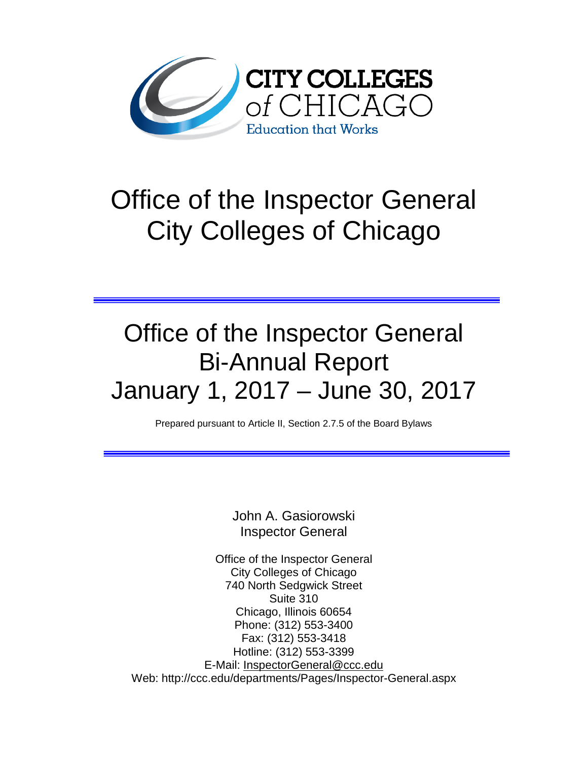

# Office of the Inspector General City Colleges of Chicago

# Office of the Inspector General Bi-Annual Report January 1, 2017 – June 30, 2017

Prepared pursuant to Article II, Section 2.7.5 of the Board Bylaws

John A. Gasiorowski Inspector General

Office of the Inspector General City Colleges of Chicago 740 North Sedgwick Street Suite 310 Chicago, Illinois 60654 Phone: (312) 553-3400 Fax: (312) 553-3418 Hotline: (312) 553-3399 E-Mail: [InspectorGeneral@ccc.edu](mailto:InspectorGeneral@ccc.edu) Web: http://ccc.edu/departments/Pages/Inspector-General.aspx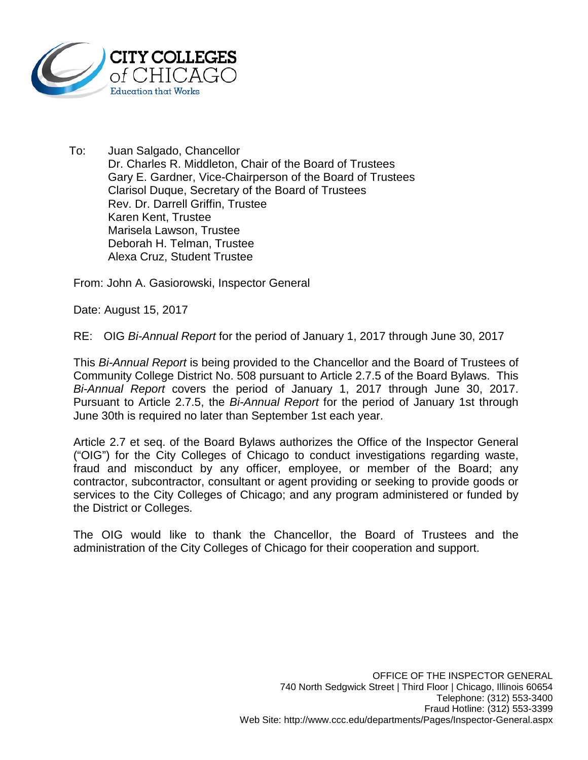

To: Juan Salgado, Chancellor Dr. Charles R. Middleton, Chair of the Board of Trustees Gary E. Gardner, Vice-Chairperson of the Board of Trustees Clarisol Duque, Secretary of the Board of Trustees Rev. Dr. Darrell Griffin, Trustee Karen Kent, Trustee Marisela Lawson, Trustee Deborah H. Telman, Trustee Alexa Cruz, Student Trustee

From: John A. Gasiorowski, Inspector General

Date: August 15, 2017

RE: OIG *Bi-Annual Report* for the period of January 1, 2017 through June 30, 2017

This *Bi-Annual Report* is being provided to the Chancellor and the Board of Trustees of Community College District No. 508 pursuant to Article 2.7.5 of the Board Bylaws. This *Bi-Annual Report* covers the period of January 1, 2017 through June 30, 2017. Pursuant to Article 2.7.5, the *Bi-Annual Report* for the period of January 1st through June 30th is required no later than September 1st each year.

Article 2.7 et seq. of the Board Bylaws authorizes the Office of the Inspector General ("OIG") for the City Colleges of Chicago to conduct investigations regarding waste, fraud and misconduct by any officer, employee, or member of the Board; any contractor, subcontractor, consultant or agent providing or seeking to provide goods or services to the City Colleges of Chicago; and any program administered or funded by the District or Colleges.

The OIG would like to thank the Chancellor, the Board of Trustees and the administration of the City Colleges of Chicago for their cooperation and support.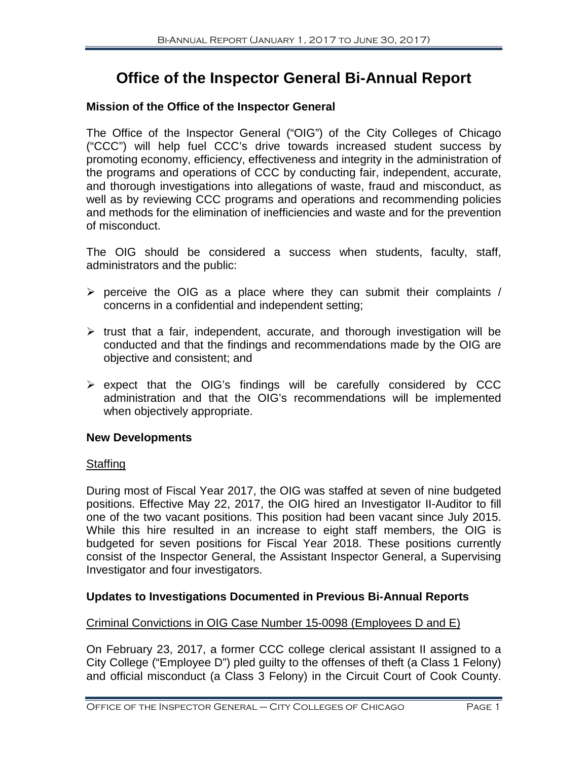# **Office of the Inspector General Bi-Annual Report**

## **Mission of the Office of the Inspector General**

The Office of the Inspector General ("OIG") of the City Colleges of Chicago ("CCC") will help fuel CCC's drive towards increased student success by promoting economy, efficiency, effectiveness and integrity in the administration of the programs and operations of CCC by conducting fair, independent, accurate, and thorough investigations into allegations of waste, fraud and misconduct, as well as by reviewing CCC programs and operations and recommending policies and methods for the elimination of inefficiencies and waste and for the prevention of misconduct.

The OIG should be considered a success when students, faculty, staff, administrators and the public:

- $\triangleright$  perceive the OIG as a place where they can submit their complaints / concerns in a confidential and independent setting;
- $\triangleright$  trust that a fair, independent, accurate, and thorough investigation will be conducted and that the findings and recommendations made by the OIG are objective and consistent; and
- $\triangleright$  expect that the OIG's findings will be carefully considered by CCC administration and that the OIG's recommendations will be implemented when objectively appropriate.

## **New Developments**

## **Staffing**

During most of Fiscal Year 2017, the OIG was staffed at seven of nine budgeted positions. Effective May 22, 2017, the OIG hired an Investigator II-Auditor to fill one of the two vacant positions. This position had been vacant since July 2015. While this hire resulted in an increase to eight staff members, the OIG is budgeted for seven positions for Fiscal Year 2018. These positions currently consist of the Inspector General, the Assistant Inspector General, a Supervising Investigator and four investigators.

# **Updates to Investigations Documented in Previous Bi-Annual Reports**

## Criminal Convictions in OIG Case Number 15-0098 (Employees D and E)

On February 23, 2017, a former CCC college clerical assistant II assigned to a City College ("Employee D") pled guilty to the offenses of theft (a Class 1 Felony) and official misconduct (a Class 3 Felony) in the Circuit Court of Cook County.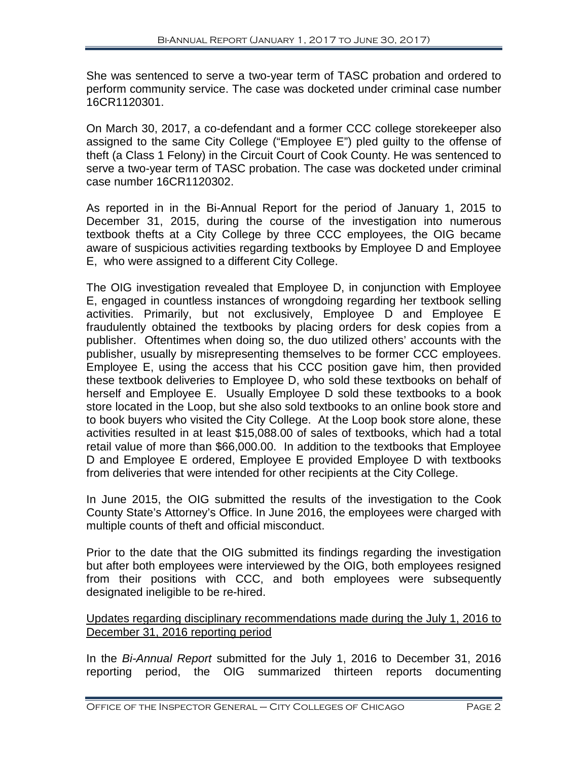She was sentenced to serve a two-year term of TASC probation and ordered to perform community service. The case was docketed under criminal case number 16CR1120301.

On March 30, 2017, a co-defendant and a former CCC college storekeeper also assigned to the same City College ("Employee E") pled guilty to the offense of theft (a Class 1 Felony) in the Circuit Court of Cook County. He was sentenced to serve a two-year term of TASC probation. The case was docketed under criminal case number 16CR1120302.

As reported in in the Bi-Annual Report for the period of January 1, 2015 to December 31, 2015, during the course of the investigation into numerous textbook thefts at a City College by three CCC employees, the OIG became aware of suspicious activities regarding textbooks by Employee D and Employee E, who were assigned to a different City College.

The OIG investigation revealed that Employee D, in conjunction with Employee E, engaged in countless instances of wrongdoing regarding her textbook selling activities. Primarily, but not exclusively, Employee D and Employee E fraudulently obtained the textbooks by placing orders for desk copies from a publisher. Oftentimes when doing so, the duo utilized others' accounts with the publisher, usually by misrepresenting themselves to be former CCC employees. Employee E, using the access that his CCC position gave him, then provided these textbook deliveries to Employee D, who sold these textbooks on behalf of herself and Employee E. Usually Employee D sold these textbooks to a book store located in the Loop, but she also sold textbooks to an online book store and to book buyers who visited the City College. At the Loop book store alone, these activities resulted in at least \$15,088.00 of sales of textbooks, which had a total retail value of more than \$66,000.00. In addition to the textbooks that Employee D and Employee E ordered, Employee E provided Employee D with textbooks from deliveries that were intended for other recipients at the City College.

In June 2015, the OIG submitted the results of the investigation to the Cook County State's Attorney's Office. In June 2016, the employees were charged with multiple counts of theft and official misconduct.

Prior to the date that the OIG submitted its findings regarding the investigation but after both employees were interviewed by the OIG, both employees resigned from their positions with CCC, and both employees were subsequently designated ineligible to be re-hired.

## Updates regarding disciplinary recommendations made during the July 1, 2016 to December 31, 2016 reporting period

In the *Bi-Annual Report* submitted for the July 1, 2016 to December 31, 2016 reporting period, the OIG summarized thirteen reports documenting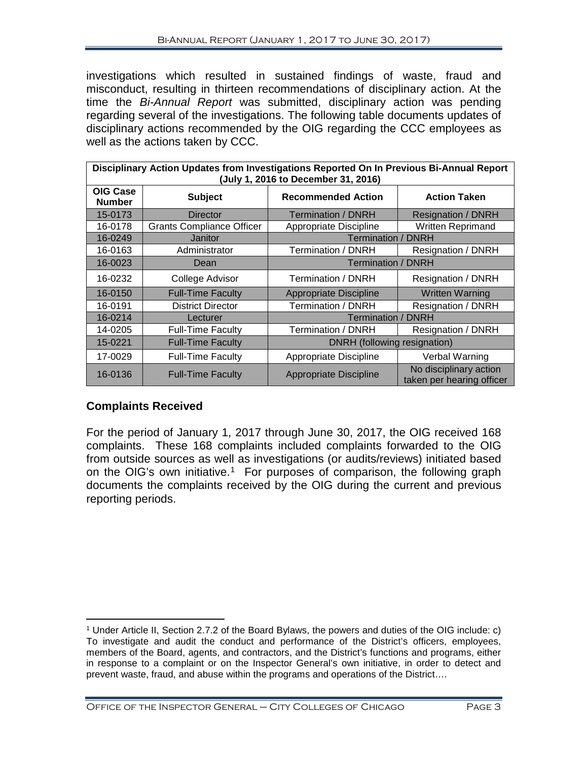investigations which resulted in sustained findings of waste, fraud and misconduct, resulting in thirteen recommendations of disciplinary action. At the time the *Bi-Annual Report* was submitted, disciplinary action was pending regarding several of the investigations. The following table documents updates of disciplinary actions recommended by the OIG regarding the CCC employees as well as the actions taken by CCC.

| Disciplinary Action Updates from Investigations Reported On In Previous Bi-Annual Report<br>(July 1, 2016 to December 31, 2016) |                                  |                               |                                                     |
|---------------------------------------------------------------------------------------------------------------------------------|----------------------------------|-------------------------------|-----------------------------------------------------|
| <b>OIG Case</b><br><b>Number</b>                                                                                                | <b>Subject</b>                   | <b>Recommended Action</b>     | <b>Action Taken</b>                                 |
| 15-0173                                                                                                                         | Director                         | <b>Termination / DNRH</b>     | <b>Resignation / DNRH</b>                           |
| 16-0178                                                                                                                         | <b>Grants Compliance Officer</b> | Appropriate Discipline        | <b>Written Reprimand</b>                            |
| 16-0249                                                                                                                         | Janitor                          | <b>Termination / DNRH</b>     |                                                     |
| 16-0163                                                                                                                         | Administrator                    | Termination / DNRH            | Resignation / DNRH                                  |
| 16-0023                                                                                                                         | Dean                             | <b>Termination / DNRH</b>     |                                                     |
| 16-0232                                                                                                                         | College Advisor                  | Termination / DNRH            | Resignation / DNRH                                  |
| 16-0150                                                                                                                         | <b>Full-Time Faculty</b>         | <b>Appropriate Discipline</b> | <b>Written Warning</b>                              |
| 16-0191                                                                                                                         | <b>District Director</b>         | Termination / DNRH            | Resignation / DNRH                                  |
| 16-0214                                                                                                                         | Lecturer                         | <b>Termination / DNRH</b>     |                                                     |
| 14-0205                                                                                                                         | <b>Full-Time Faculty</b>         | Termination / DNRH            | Resignation / DNRH                                  |
| 15-0221                                                                                                                         | <b>Full-Time Faculty</b>         | DNRH (following resignation)  |                                                     |
| 17-0029                                                                                                                         | <b>Full-Time Faculty</b>         | Appropriate Discipline        | Verbal Warning                                      |
| 16-0136                                                                                                                         | <b>Full-Time Faculty</b>         | <b>Appropriate Discipline</b> | No disciplinary action<br>taken per hearing officer |

# **Complaints Received**

For the period of January 1, 2017 through June 30, 2017, the OIG received 168 complaints. These 168 complaints included complaints forwarded to the OIG from outside sources as well as investigations (or audits/reviews) initiated based on the OIG's own initiative.<sup>[1](#page-4-0)</sup> For purposes of comparison, the following graph documents the complaints received by the OIG during the current and previous reporting periods.

<span id="page-4-0"></span> $\overline{a}$ <sup>1</sup> Under Article II, Section 2.7.2 of the Board Bylaws, the powers and duties of the OIG include: c) To investigate and audit the conduct and performance of the District's officers, employees, members of the Board, agents, and contractors, and the District's functions and programs, either in response to a complaint or on the Inspector General's own initiative, in order to detect and prevent waste, fraud, and abuse within the programs and operations of the District….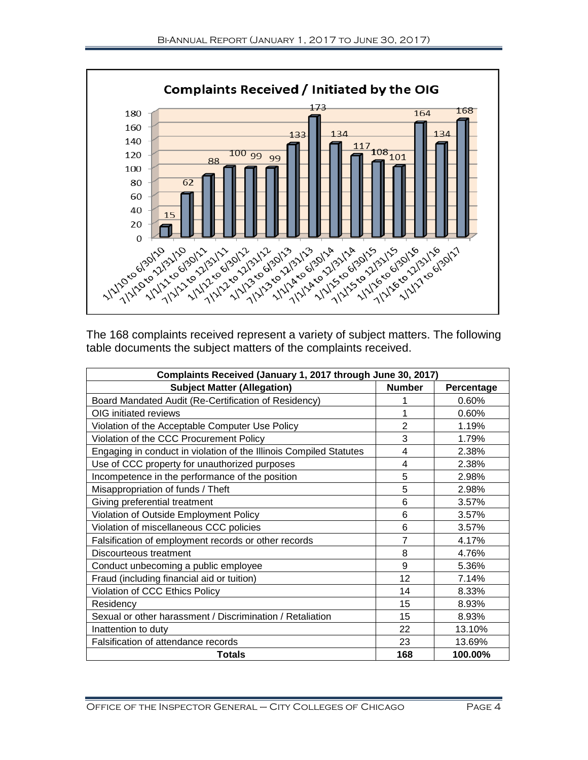

The 168 complaints received represent a variety of subject matters. The following table documents the subject matters of the complaints received.

| Complaints Received (January 1, 2017 through June 30, 2017)        |                |            |  |
|--------------------------------------------------------------------|----------------|------------|--|
| <b>Subject Matter (Allegation)</b>                                 | <b>Number</b>  | Percentage |  |
| Board Mandated Audit (Re-Certification of Residency)               | 1              | 0.60%      |  |
| OIG initiated reviews                                              | 1              | 0.60%      |  |
| Violation of the Acceptable Computer Use Policy                    | $\overline{2}$ | 1.19%      |  |
| Violation of the CCC Procurement Policy                            | 3              | 1.79%      |  |
| Engaging in conduct in violation of the Illinois Compiled Statutes | $\overline{4}$ | 2.38%      |  |
| Use of CCC property for unauthorized purposes                      | 4              | 2.38%      |  |
| Incompetence in the performance of the position                    | 5              | 2.98%      |  |
| Misappropriation of funds / Theft                                  | 5              | 2.98%      |  |
| Giving preferential treatment                                      | 6              | 3.57%      |  |
| Violation of Outside Employment Policy                             | 6              | 3.57%      |  |
| Violation of miscellaneous CCC policies                            | 6              | 3.57%      |  |
| Falsification of employment records or other records               | 7              | 4.17%      |  |
| Discourteous treatment                                             | 8              | 4.76%      |  |
| Conduct unbecoming a public employee                               | 9              | 5.36%      |  |
| Fraud (including financial aid or tuition)                         | 12             | 7.14%      |  |
| Violation of CCC Ethics Policy                                     | 14             | 8.33%      |  |
| Residency                                                          | 15             | 8.93%      |  |
| Sexual or other harassment / Discrimination / Retaliation          | 15             | 8.93%      |  |
| Inattention to duty                                                | 22             | 13.10%     |  |
| Falsification of attendance records                                | 23             | 13.69%     |  |
| <b>Totals</b>                                                      | 168            | 100.00%    |  |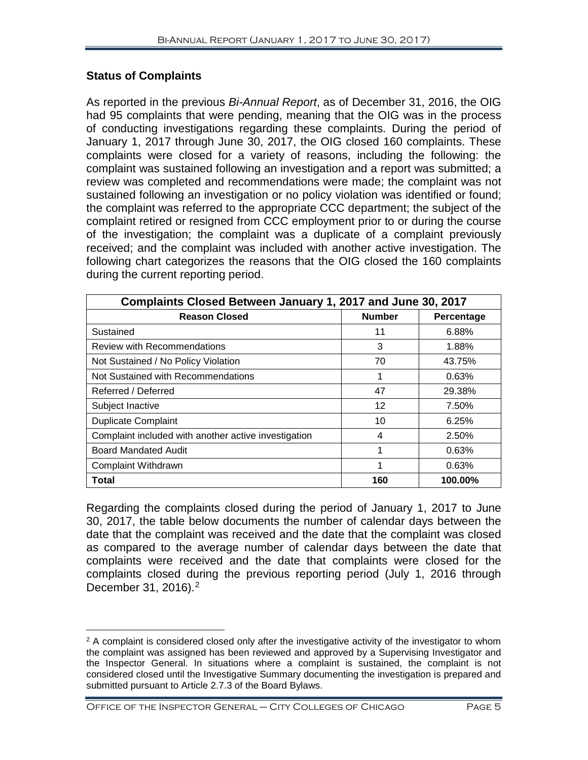# **Status of Complaints**

As reported in the previous *Bi-Annual Report*, as of December 31, 2016, the OIG had 95 complaints that were pending, meaning that the OIG was in the process of conducting investigations regarding these complaints. During the period of January 1, 2017 through June 30, 2017, the OIG closed 160 complaints. These complaints were closed for a variety of reasons, including the following: the complaint was sustained following an investigation and a report was submitted; a review was completed and recommendations were made; the complaint was not sustained following an investigation or no policy violation was identified or found; the complaint was referred to the appropriate CCC department; the subject of the complaint retired or resigned from CCC employment prior to or during the course of the investigation; the complaint was a duplicate of a complaint previously received; and the complaint was included with another active investigation. The following chart categorizes the reasons that the OIG closed the 160 complaints during the current reporting period.

| Complaints Closed Between January 1, 2017 and June 30, 2017 |               |            |  |
|-------------------------------------------------------------|---------------|------------|--|
| <b>Reason Closed</b>                                        | <b>Number</b> | Percentage |  |
| Sustained                                                   | 11            | 6.88%      |  |
| Review with Recommendations                                 | 3             | 1.88%      |  |
| Not Sustained / No Policy Violation                         | 70            | 43.75%     |  |
| Not Sustained with Recommendations                          | 1             | 0.63%      |  |
| Referred / Deferred                                         | 47            | 29.38%     |  |
| Subject Inactive                                            | 12            | 7.50%      |  |
| <b>Duplicate Complaint</b>                                  | 10            | 6.25%      |  |
| Complaint included with another active investigation        | 4             | 2.50%      |  |
| <b>Board Mandated Audit</b>                                 | 1             | 0.63%      |  |
| Complaint Withdrawn                                         | 1             | 0.63%      |  |
| Total                                                       | 160           | 100.00%    |  |

Regarding the complaints closed during the period of January 1, 2017 to June 30, 2017, the table below documents the number of calendar days between the date that the complaint was received and the date that the complaint was closed as compared to the average number of calendar days between the date that complaints were received and the date that complaints were closed for the complaints closed during the previous reporting period (July 1, 2016 through December 31, 2016). [2](#page-6-0)

<span id="page-6-0"></span> $\overline{a}$  $2$  A complaint is considered closed only after the investigative activity of the investigator to whom the complaint was assigned has been reviewed and approved by a Supervising Investigator and the Inspector General. In situations where a complaint is sustained, the complaint is not considered closed until the Investigative Summary documenting the investigation is prepared and submitted pursuant to Article 2.7.3 of the Board Bylaws.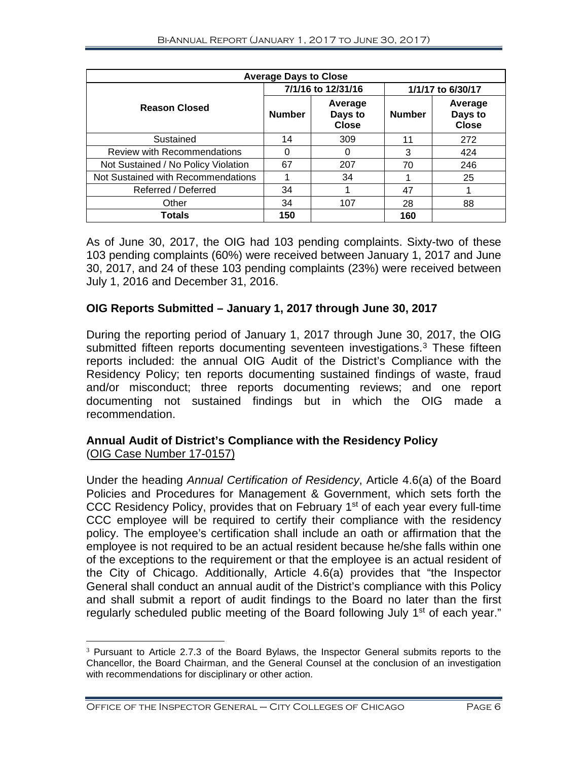| <b>Average Days to Close</b>        |                    |                                    |                   |                                    |
|-------------------------------------|--------------------|------------------------------------|-------------------|------------------------------------|
|                                     | 7/1/16 to 12/31/16 |                                    | 1/1/17 to 6/30/17 |                                    |
| <b>Reason Closed</b>                | <b>Number</b>      | Average<br>Days to<br><b>Close</b> | <b>Number</b>     | Average<br>Days to<br><b>Close</b> |
| Sustained                           | 14                 | 309                                | 11                | 272                                |
| <b>Review with Recommendations</b>  | 0                  | 0                                  | 3                 | 424                                |
| Not Sustained / No Policy Violation | 67                 | 207                                | 70                | 246                                |
| Not Sustained with Recommendations  |                    | 34                                 |                   | 25                                 |
| Referred / Deferred                 | 34                 |                                    | 47                |                                    |
| Other                               | 34                 | 107                                | 28                | 88                                 |
| <b>Totals</b>                       | 150                |                                    | 160               |                                    |

As of June 30, 2017, the OIG had 103 pending complaints. Sixty-two of these 103 pending complaints (60%) were received between January 1, 2017 and June 30, 2017, and 24 of these 103 pending complaints (23%) were received between July 1, 2016 and December 31, 2016.

# **OIG Reports Submitted – January 1, 2017 through June 30, 2017**

During the reporting period of January 1, 2017 through June 30, 2017, the OIG submitted fifteen reports documenting seventeen investigations. [3](#page-7-0) These fifteen reports included: the annual OIG Audit of the District's Compliance with the Residency Policy; ten reports documenting sustained findings of waste, fraud and/or misconduct; three reports documenting reviews; and one report documenting not sustained findings but in which the OIG made a recommendation.

# **Annual Audit of District's Compliance with the Residency Policy**  (OIG Case Number 17-0157)

Under the heading *Annual Certification of Residency*, Article 4.6(a) of the Board Policies and Procedures for Management & Government, which sets forth the CCC Residency Policy, provides that on February 1<sup>st</sup> of each year every full-time CCC employee will be required to certify their compliance with the residency policy. The employee's certification shall include an oath or affirmation that the employee is not required to be an actual resident because he/she falls within one of the exceptions to the requirement or that the employee is an actual resident of the City of Chicago. Additionally, Article 4.6(a) provides that "the Inspector General shall conduct an annual audit of the District's compliance with this Policy and shall submit a report of audit findings to the Board no later than the first regularly scheduled public meeting of the Board following July 1<sup>st</sup> of each year."

<span id="page-7-0"></span><sup>&</sup>lt;sup>3</sup> Pursuant to Article 2.7.3 of the Board Bylaws, the Inspector General submits reports to the Chancellor, the Board Chairman, and the General Counsel at the conclusion of an investigation with recommendations for disciplinary or other action.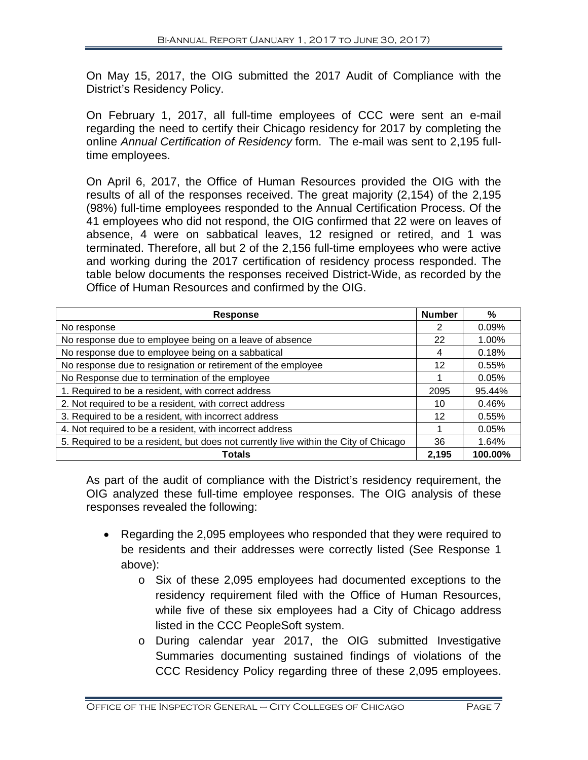On May 15, 2017, the OIG submitted the 2017 Audit of Compliance with the District's Residency Policy.

On February 1, 2017, all full-time employees of CCC were sent an e-mail regarding the need to certify their Chicago residency for 2017 by completing the online *Annual Certification of Residency* form. The e-mail was sent to 2,195 fulltime employees.

On April 6, 2017, the Office of Human Resources provided the OIG with the results of all of the responses received. The great majority (2,154) of the 2,195 (98%) full-time employees responded to the Annual Certification Process. Of the 41 employees who did not respond, the OIG confirmed that 22 were on leaves of absence, 4 were on sabbatical leaves, 12 resigned or retired, and 1 was terminated. Therefore, all but 2 of the 2,156 full-time employees who were active and working during the 2017 certification of residency process responded. The table below documents the responses received District-Wide, as recorded by the Office of Human Resources and confirmed by the OIG.

| <b>Response</b>                                                                      | <b>Number</b> | %       |
|--------------------------------------------------------------------------------------|---------------|---------|
| No response                                                                          | 2             | 0.09%   |
| No response due to employee being on a leave of absence                              | 22            | 1.00%   |
| No response due to employee being on a sabbatical                                    | 4             | 0.18%   |
| No response due to resignation or retirement of the employee                         | 12            | 0.55%   |
| No Response due to termination of the employee                                       |               | 0.05%   |
| 1. Required to be a resident, with correct address                                   | 2095          | 95.44%  |
| 2. Not required to be a resident, with correct address                               | 10            | 0.46%   |
| 3. Required to be a resident, with incorrect address                                 | 12            | 0.55%   |
| 4. Not required to be a resident, with incorrect address                             |               | 0.05%   |
| 5. Required to be a resident, but does not currently live within the City of Chicago |               | 1.64%   |
| <b>Totals</b>                                                                        | 2,195         | 100.00% |

As part of the audit of compliance with the District's residency requirement, the OIG analyzed these full-time employee responses. The OIG analysis of these responses revealed the following:

- Regarding the 2,095 employees who responded that they were required to be residents and their addresses were correctly listed (See Response 1 above):
	- o Six of these 2,095 employees had documented exceptions to the residency requirement filed with the Office of Human Resources, while five of these six employees had a City of Chicago address listed in the CCC PeopleSoft system.
	- o During calendar year 2017, the OIG submitted Investigative Summaries documenting sustained findings of violations of the CCC Residency Policy regarding three of these 2,095 employees.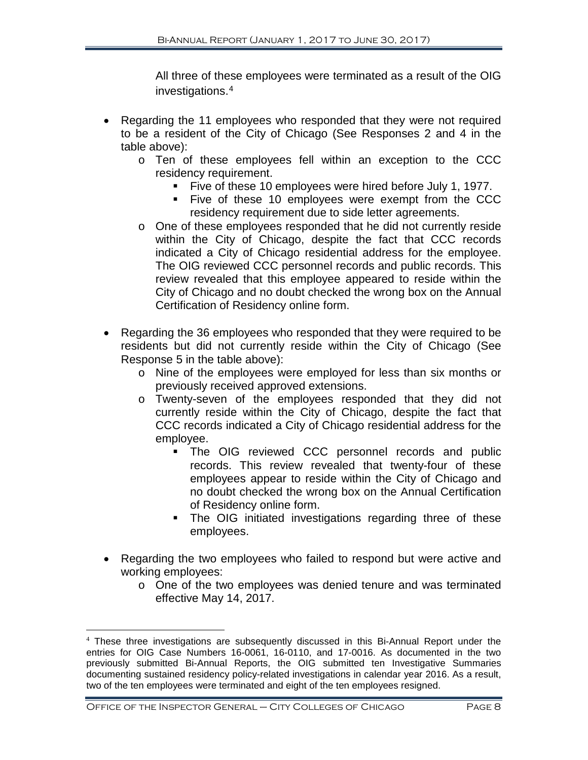All three of these employees were terminated as a result of the OIG investigations.[4](#page-9-0)

- Regarding the 11 employees who responded that they were not required to be a resident of the City of Chicago (See Responses 2 and 4 in the table above):
	- o Ten of these employees fell within an exception to the CCC residency requirement.
		- Five of these 10 employees were hired before July 1, 1977.
		- Five of these 10 employees were exempt from the CCC residency requirement due to side letter agreements.
	- o One of these employees responded that he did not currently reside within the City of Chicago, despite the fact that CCC records indicated a City of Chicago residential address for the employee. The OIG reviewed CCC personnel records and public records. This review revealed that this employee appeared to reside within the City of Chicago and no doubt checked the wrong box on the Annual Certification of Residency online form.
- Regarding the 36 employees who responded that they were required to be residents but did not currently reside within the City of Chicago (See Response 5 in the table above):
	- o Nine of the employees were employed for less than six months or previously received approved extensions.
	- o Twenty-seven of the employees responded that they did not currently reside within the City of Chicago, despite the fact that CCC records indicated a City of Chicago residential address for the employee.
		- **The OIG reviewed CCC personnel records and public** records. This review revealed that twenty-four of these employees appear to reside within the City of Chicago and no doubt checked the wrong box on the Annual Certification of Residency online form.
		- The OIG initiated investigations regarding three of these employees.
- Regarding the two employees who failed to respond but were active and working employees:
	- o One of the two employees was denied tenure and was terminated effective May 14, 2017.

<span id="page-9-0"></span> <sup>4</sup> These three investigations are subsequently discussed in this Bi-Annual Report under the entries for OIG Case Numbers 16-0061, 16-0110, and 17-0016. As documented in the two previously submitted Bi-Annual Reports, the OIG submitted ten Investigative Summaries documenting sustained residency policy-related investigations in calendar year 2016. As a result, two of the ten employees were terminated and eight of the ten employees resigned.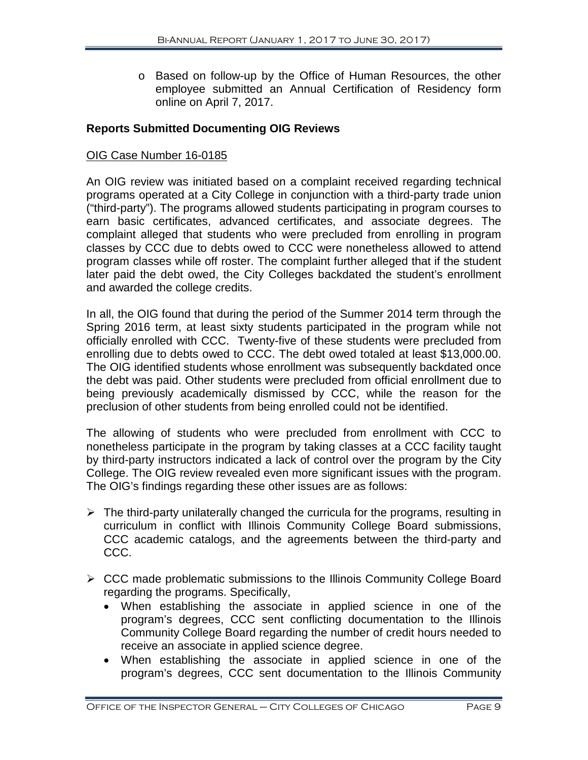o Based on follow-up by the Office of Human Resources, the other employee submitted an Annual Certification of Residency form online on April 7, 2017.

# **Reports Submitted Documenting OIG Reviews**

#### OIG Case Number 16-0185

An OIG review was initiated based on a complaint received regarding technical programs operated at a City College in conjunction with a third-party trade union ("third-party"). The programs allowed students participating in program courses to earn basic certificates, advanced certificates, and associate degrees. The complaint alleged that students who were precluded from enrolling in program classes by CCC due to debts owed to CCC were nonetheless allowed to attend program classes while off roster. The complaint further alleged that if the student later paid the debt owed, the City Colleges backdated the student's enrollment and awarded the college credits.

In all, the OIG found that during the period of the Summer 2014 term through the Spring 2016 term, at least sixty students participated in the program while not officially enrolled with CCC. Twenty-five of these students were precluded from enrolling due to debts owed to CCC. The debt owed totaled at least \$13,000.00. The OIG identified students whose enrollment was subsequently backdated once the debt was paid. Other students were precluded from official enrollment due to being previously academically dismissed by CCC, while the reason for the preclusion of other students from being enrolled could not be identified.

The allowing of students who were precluded from enrollment with CCC to nonetheless participate in the program by taking classes at a CCC facility taught by third-party instructors indicated a lack of control over the program by the City College. The OIG review revealed even more significant issues with the program. The OIG's findings regarding these other issues are as follows:

- $\triangleright$  The third-party unilaterally changed the curricula for the programs, resulting in curriculum in conflict with Illinois Community College Board submissions, CCC academic catalogs, and the agreements between the third-party and CCC.
- $\triangleright$  CCC made problematic submissions to the Illinois Community College Board regarding the programs. Specifically,
	- When establishing the associate in applied science in one of the program's degrees, CCC sent conflicting documentation to the Illinois Community College Board regarding the number of credit hours needed to receive an associate in applied science degree.
	- When establishing the associate in applied science in one of the program's degrees, CCC sent documentation to the Illinois Community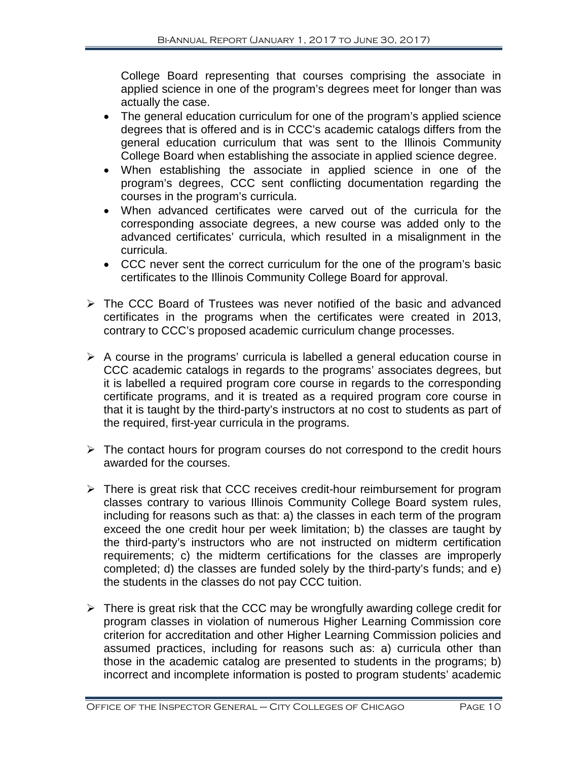College Board representing that courses comprising the associate in applied science in one of the program's degrees meet for longer than was actually the case.

- The general education curriculum for one of the program's applied science degrees that is offered and is in CCC's academic catalogs differs from the general education curriculum that was sent to the Illinois Community College Board when establishing the associate in applied science degree.
- When establishing the associate in applied science in one of the program's degrees, CCC sent conflicting documentation regarding the courses in the program's curricula.
- When advanced certificates were carved out of the curricula for the corresponding associate degrees, a new course was added only to the advanced certificates' curricula, which resulted in a misalignment in the curricula.
- CCC never sent the correct curriculum for the one of the program's basic certificates to the Illinois Community College Board for approval.
- $\triangleright$  The CCC Board of Trustees was never notified of the basic and advanced certificates in the programs when the certificates were created in 2013, contrary to CCC's proposed academic curriculum change processes.
- $\triangleright$  A course in the programs' curricula is labelled a general education course in CCC academic catalogs in regards to the programs' associates degrees, but it is labelled a required program core course in regards to the corresponding certificate programs, and it is treated as a required program core course in that it is taught by the third-party's instructors at no cost to students as part of the required, first-year curricula in the programs.
- $\triangleright$  The contact hours for program courses do not correspond to the credit hours awarded for the courses.
- $\triangleright$  There is great risk that CCC receives credit-hour reimbursement for program classes contrary to various Illinois Community College Board system rules, including for reasons such as that: a) the classes in each term of the program exceed the one credit hour per week limitation; b) the classes are taught by the third-party's instructors who are not instructed on midterm certification requirements; c) the midterm certifications for the classes are improperly completed; d) the classes are funded solely by the third-party's funds; and e) the students in the classes do not pay CCC tuition.
- $\triangleright$  There is great risk that the CCC may be wrongfully awarding college credit for program classes in violation of numerous Higher Learning Commission core criterion for accreditation and other Higher Learning Commission policies and assumed practices, including for reasons such as: a) curricula other than those in the academic catalog are presented to students in the programs; b) incorrect and incomplete information is posted to program students' academic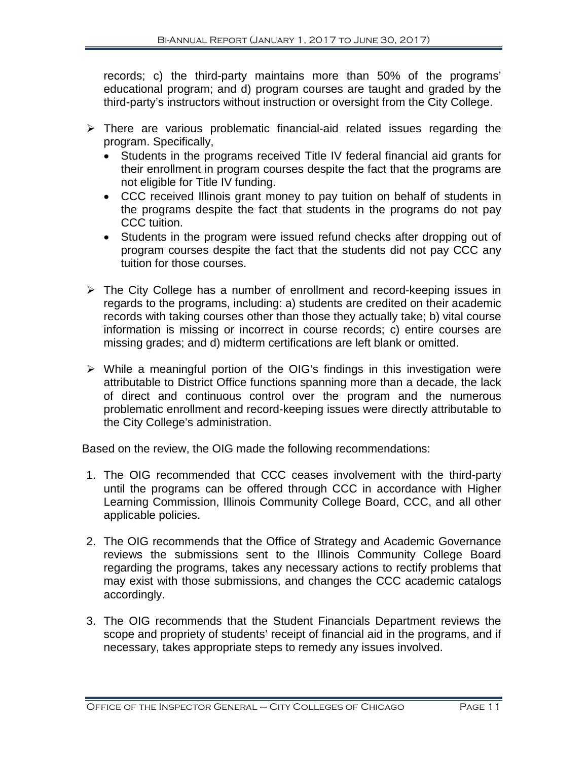records; c) the third-party maintains more than 50% of the programs' educational program; and d) program courses are taught and graded by the third-party's instructors without instruction or oversight from the City College.

- $\triangleright$  There are various problematic financial-aid related issues regarding the program. Specifically,
	- Students in the programs received Title IV federal financial aid grants for their enrollment in program courses despite the fact that the programs are not eligible for Title IV funding.
	- CCC received Illinois grant money to pay tuition on behalf of students in the programs despite the fact that students in the programs do not pay CCC tuition.
	- Students in the program were issued refund checks after dropping out of program courses despite the fact that the students did not pay CCC any tuition for those courses.
- $\triangleright$  The City College has a number of enrollment and record-keeping issues in regards to the programs, including: a) students are credited on their academic records with taking courses other than those they actually take; b) vital course information is missing or incorrect in course records; c) entire courses are missing grades; and d) midterm certifications are left blank or omitted.
- $\triangleright$  While a meaningful portion of the OIG's findings in this investigation were attributable to District Office functions spanning more than a decade, the lack of direct and continuous control over the program and the numerous problematic enrollment and record-keeping issues were directly attributable to the City College's administration.

Based on the review, the OIG made the following recommendations:

- 1. The OIG recommended that CCC ceases involvement with the third-party until the programs can be offered through CCC in accordance with Higher Learning Commission, Illinois Community College Board, CCC, and all other applicable policies.
- 2. The OIG recommends that the Office of Strategy and Academic Governance reviews the submissions sent to the Illinois Community College Board regarding the programs, takes any necessary actions to rectify problems that may exist with those submissions, and changes the CCC academic catalogs accordingly.
- 3. The OIG recommends that the Student Financials Department reviews the scope and propriety of students' receipt of financial aid in the programs, and if necessary, takes appropriate steps to remedy any issues involved.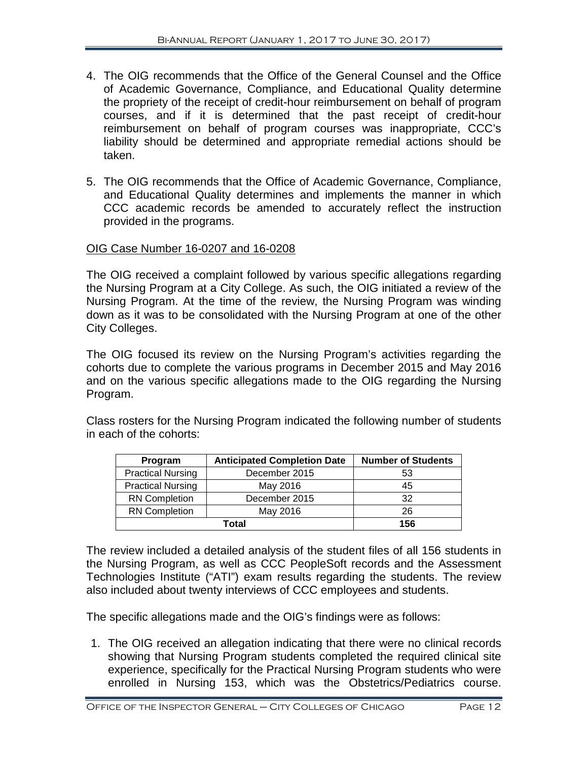- 4. The OIG recommends that the Office of the General Counsel and the Office of Academic Governance, Compliance, and Educational Quality determine the propriety of the receipt of credit-hour reimbursement on behalf of program courses, and if it is determined that the past receipt of credit-hour reimbursement on behalf of program courses was inappropriate, CCC's liability should be determined and appropriate remedial actions should be taken.
- 5. The OIG recommends that the Office of Academic Governance, Compliance, and Educational Quality determines and implements the manner in which CCC academic records be amended to accurately reflect the instruction provided in the programs.

# OIG Case Number 16-0207 and 16-0208

The OIG received a complaint followed by various specific allegations regarding the Nursing Program at a City College. As such, the OIG initiated a review of the Nursing Program. At the time of the review, the Nursing Program was winding down as it was to be consolidated with the Nursing Program at one of the other City Colleges.

The OIG focused its review on the Nursing Program's activities regarding the cohorts due to complete the various programs in December 2015 and May 2016 and on the various specific allegations made to the OIG regarding the Nursing Program.

Class rosters for the Nursing Program indicated the following number of students in each of the cohorts:

| Program                  | <b>Anticipated Completion Date</b> | <b>Number of Students</b> |
|--------------------------|------------------------------------|---------------------------|
| <b>Practical Nursing</b> | December 2015                      | 53                        |
| <b>Practical Nursing</b> | May 2016                           | 45                        |
| <b>RN Completion</b>     | December 2015                      | 32                        |
| <b>RN Completion</b>     | May 2016                           | 26                        |
|                          | Total                              | 156                       |

The review included a detailed analysis of the student files of all 156 students in the Nursing Program, as well as CCC PeopleSoft records and the Assessment Technologies Institute ("ATI") exam results regarding the students. The review also included about twenty interviews of CCC employees and students.

The specific allegations made and the OIG's findings were as follows:

1. The OIG received an allegation indicating that there were no clinical records showing that Nursing Program students completed the required clinical site experience, specifically for the Practical Nursing Program students who were enrolled in Nursing 153, which was the Obstetrics/Pediatrics course.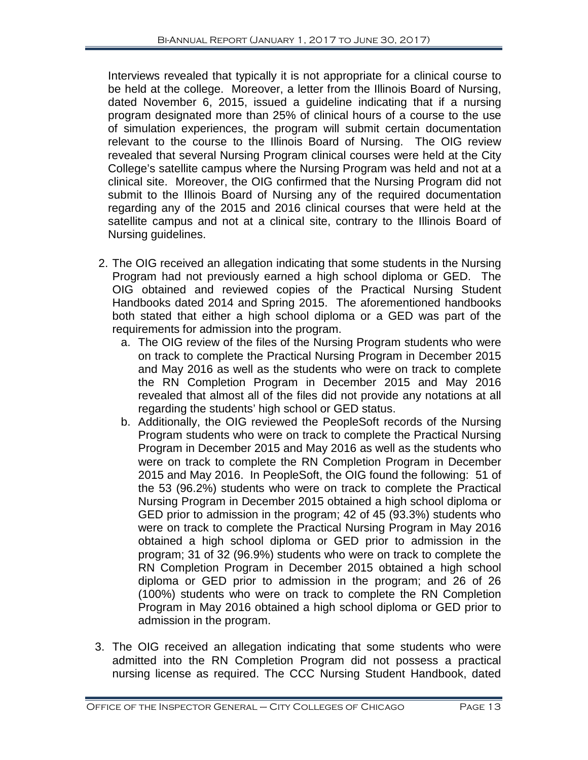Interviews revealed that typically it is not appropriate for a clinical course to be held at the college. Moreover, a letter from the Illinois Board of Nursing, dated November 6, 2015, issued a guideline indicating that if a nursing program designated more than 25% of clinical hours of a course to the use of simulation experiences, the program will submit certain documentation relevant to the course to the Illinois Board of Nursing. The OIG review revealed that several Nursing Program clinical courses were held at the City College's satellite campus where the Nursing Program was held and not at a clinical site. Moreover, the OIG confirmed that the Nursing Program did not submit to the Illinois Board of Nursing any of the required documentation regarding any of the 2015 and 2016 clinical courses that were held at the satellite campus and not at a clinical site, contrary to the Illinois Board of Nursing guidelines.

- 2. The OIG received an allegation indicating that some students in the Nursing Program had not previously earned a high school diploma or GED. The OIG obtained and reviewed copies of the Practical Nursing Student Handbooks dated 2014 and Spring 2015. The aforementioned handbooks both stated that either a high school diploma or a GED was part of the requirements for admission into the program.
	- a. The OIG review of the files of the Nursing Program students who were on track to complete the Practical Nursing Program in December 2015 and May 2016 as well as the students who were on track to complete the RN Completion Program in December 2015 and May 2016 revealed that almost all of the files did not provide any notations at all regarding the students' high school or GED status.
	- b. Additionally, the OIG reviewed the PeopleSoft records of the Nursing Program students who were on track to complete the Practical Nursing Program in December 2015 and May 2016 as well as the students who were on track to complete the RN Completion Program in December 2015 and May 2016. In PeopleSoft, the OIG found the following: 51 of the 53 (96.2%) students who were on track to complete the Practical Nursing Program in December 2015 obtained a high school diploma or GED prior to admission in the program; 42 of 45 (93.3%) students who were on track to complete the Practical Nursing Program in May 2016 obtained a high school diploma or GED prior to admission in the program; 31 of 32 (96.9%) students who were on track to complete the RN Completion Program in December 2015 obtained a high school diploma or GED prior to admission in the program; and 26 of 26 (100%) students who were on track to complete the RN Completion Program in May 2016 obtained a high school diploma or GED prior to admission in the program.
- 3. The OIG received an allegation indicating that some students who were admitted into the RN Completion Program did not possess a practical nursing license as required. The CCC Nursing Student Handbook, dated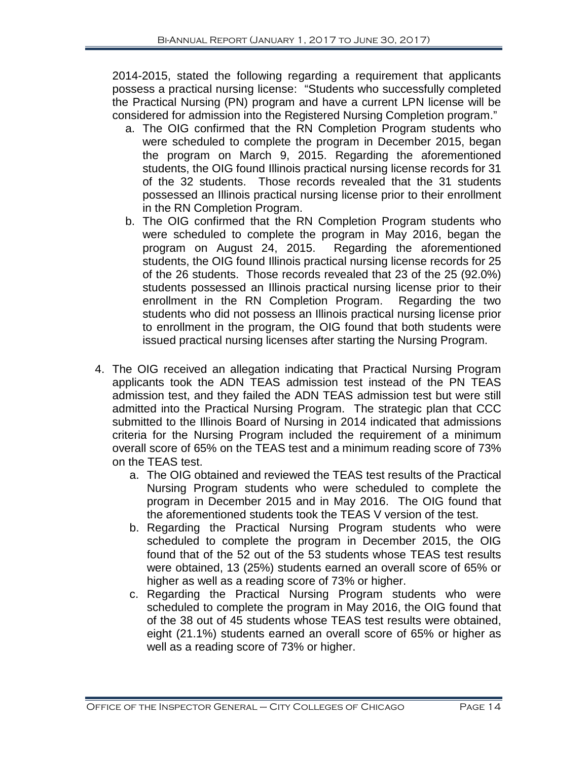2014-2015, stated the following regarding a requirement that applicants possess a practical nursing license: "Students who successfully completed the Practical Nursing (PN) program and have a current LPN license will be considered for admission into the Registered Nursing Completion program."

- a. The OIG confirmed that the RN Completion Program students who were scheduled to complete the program in December 2015, began the program on March 9, 2015. Regarding the aforementioned students, the OIG found Illinois practical nursing license records for 31 of the 32 students. Those records revealed that the 31 students possessed an Illinois practical nursing license prior to their enrollment in the RN Completion Program.
- b. The OIG confirmed that the RN Completion Program students who were scheduled to complete the program in May 2016, began the program on August 24, 2015. Regarding the aforementioned students, the OIG found Illinois practical nursing license records for 25 of the 26 students. Those records revealed that 23 of the 25 (92.0%) students possessed an Illinois practical nursing license prior to their<br>enrollment in the RN Completion Program. Regarding the two enrollment in the RN Completion Program. students who did not possess an Illinois practical nursing license prior to enrollment in the program, the OIG found that both students were issued practical nursing licenses after starting the Nursing Program.
- 4. The OIG received an allegation indicating that Practical Nursing Program applicants took the ADN TEAS admission test instead of the PN TEAS admission test, and they failed the ADN TEAS admission test but were still admitted into the Practical Nursing Program. The strategic plan that CCC submitted to the Illinois Board of Nursing in 2014 indicated that admissions criteria for the Nursing Program included the requirement of a minimum overall score of 65% on the TEAS test and a minimum reading score of 73% on the TEAS test.
	- a. The OIG obtained and reviewed the TEAS test results of the Practical Nursing Program students who were scheduled to complete the program in December 2015 and in May 2016. The OIG found that the aforementioned students took the TEAS V version of the test.
	- b. Regarding the Practical Nursing Program students who were scheduled to complete the program in December 2015, the OIG found that of the 52 out of the 53 students whose TEAS test results were obtained, 13 (25%) students earned an overall score of 65% or higher as well as a reading score of 73% or higher.
	- c. Regarding the Practical Nursing Program students who were scheduled to complete the program in May 2016, the OIG found that of the 38 out of 45 students whose TEAS test results were obtained, eight (21.1%) students earned an overall score of 65% or higher as well as a reading score of 73% or higher.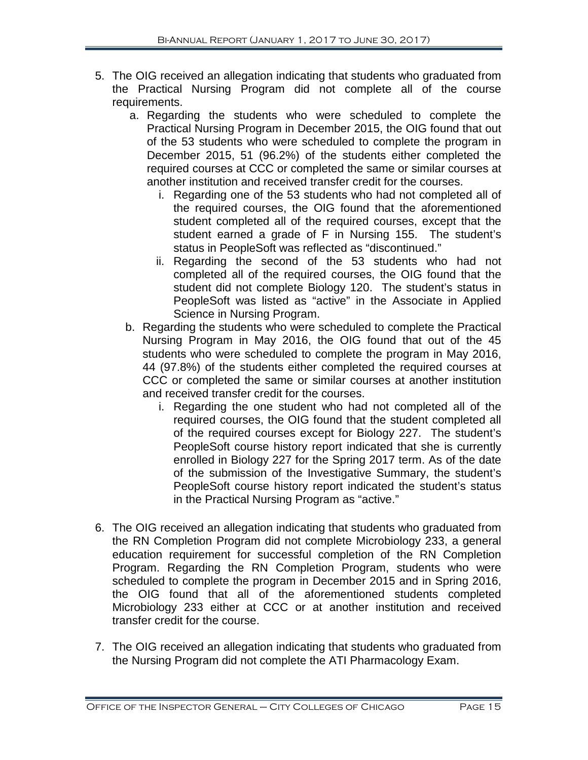- 5. The OIG received an allegation indicating that students who graduated from the Practical Nursing Program did not complete all of the course requirements.
	- a. Regarding the students who were scheduled to complete the Practical Nursing Program in December 2015, the OIG found that out of the 53 students who were scheduled to complete the program in December 2015, 51 (96.2%) of the students either completed the required courses at CCC or completed the same or similar courses at another institution and received transfer credit for the courses.
		- i. Regarding one of the 53 students who had not completed all of the required courses, the OIG found that the aforementioned student completed all of the required courses, except that the student earned a grade of F in Nursing 155. The student's status in PeopleSoft was reflected as "discontinued."
		- ii. Regarding the second of the 53 students who had not completed all of the required courses, the OIG found that the student did not complete Biology 120. The student's status in PeopleSoft was listed as "active" in the Associate in Applied Science in Nursing Program.
	- b. Regarding the students who were scheduled to complete the Practical Nursing Program in May 2016, the OIG found that out of the 45 students who were scheduled to complete the program in May 2016, 44 (97.8%) of the students either completed the required courses at CCC or completed the same or similar courses at another institution and received transfer credit for the courses.
		- i. Regarding the one student who had not completed all of the required courses, the OIG found that the student completed all of the required courses except for Biology 227. The student's PeopleSoft course history report indicated that she is currently enrolled in Biology 227 for the Spring 2017 term. As of the date of the submission of the Investigative Summary, the student's PeopleSoft course history report indicated the student's status in the Practical Nursing Program as "active."
- 6. The OIG received an allegation indicating that students who graduated from the RN Completion Program did not complete Microbiology 233, a general education requirement for successful completion of the RN Completion Program. Regarding the RN Completion Program, students who were scheduled to complete the program in December 2015 and in Spring 2016, the OIG found that all of the aforementioned students completed Microbiology 233 either at CCC or at another institution and received transfer credit for the course.
- 7. The OIG received an allegation indicating that students who graduated from the Nursing Program did not complete the ATI Pharmacology Exam.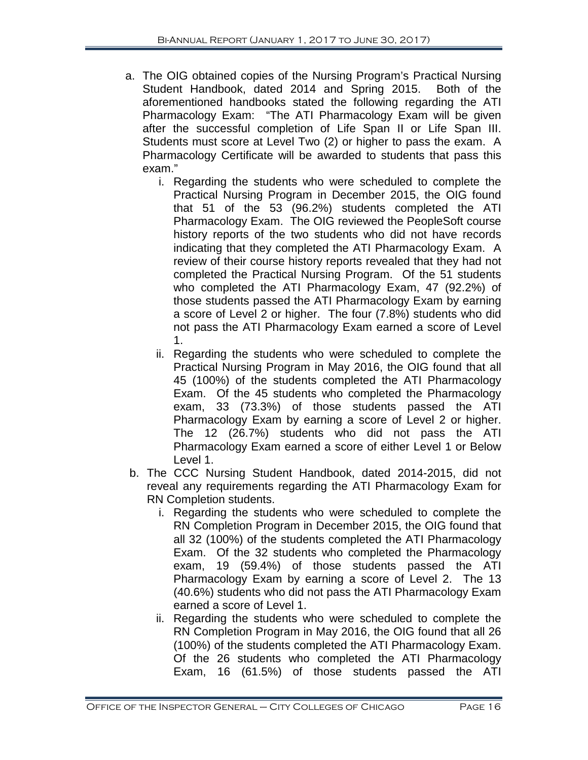- a. The OIG obtained copies of the Nursing Program's Practical Nursing Student Handbook, dated 2014 and Spring 2015. Both of the aforementioned handbooks stated the following regarding the ATI Pharmacology Exam: "The ATI Pharmacology Exam will be given after the successful completion of Life Span II or Life Span III. Students must score at Level Two (2) or higher to pass the exam. A Pharmacology Certificate will be awarded to students that pass this exam."
	- i. Regarding the students who were scheduled to complete the Practical Nursing Program in December 2015, the OIG found that 51 of the 53 (96.2%) students completed the ATI Pharmacology Exam. The OIG reviewed the PeopleSoft course history reports of the two students who did not have records indicating that they completed the ATI Pharmacology Exam. A review of their course history reports revealed that they had not completed the Practical Nursing Program. Of the 51 students who completed the ATI Pharmacology Exam, 47 (92.2%) of those students passed the ATI Pharmacology Exam by earning a score of Level 2 or higher. The four (7.8%) students who did not pass the ATI Pharmacology Exam earned a score of Level 1.
	- ii. Regarding the students who were scheduled to complete the Practical Nursing Program in May 2016, the OIG found that all 45 (100%) of the students completed the ATI Pharmacology Exam. Of the 45 students who completed the Pharmacology exam, 33 (73.3%) of those students passed the ATI Pharmacology Exam by earning a score of Level 2 or higher. The 12 (26.7%) students who did not pass the ATI Pharmacology Exam earned a score of either Level 1 or Below Level 1.
- b. The CCC Nursing Student Handbook, dated 2014-2015, did not reveal any requirements regarding the ATI Pharmacology Exam for RN Completion students.
	- i. Regarding the students who were scheduled to complete the RN Completion Program in December 2015, the OIG found that all 32 (100%) of the students completed the ATI Pharmacology Exam. Of the 32 students who completed the Pharmacology exam, 19 (59.4%) of those students passed the ATI Pharmacology Exam by earning a score of Level 2. The 13 (40.6%) students who did not pass the ATI Pharmacology Exam earned a score of Level 1.
	- ii. Regarding the students who were scheduled to complete the RN Completion Program in May 2016, the OIG found that all 26 (100%) of the students completed the ATI Pharmacology Exam. Of the 26 students who completed the ATI Pharmacology Exam, 16 (61.5%) of those students passed the ATI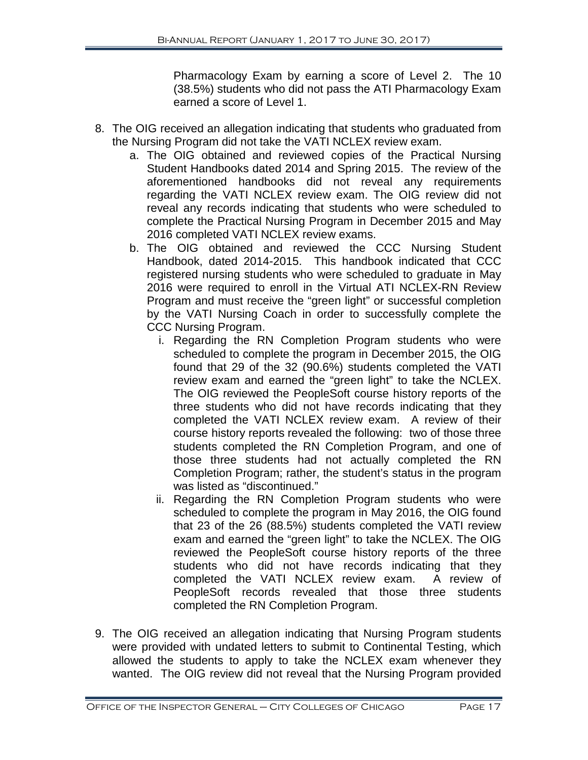Pharmacology Exam by earning a score of Level 2. The 10 (38.5%) students who did not pass the ATI Pharmacology Exam earned a score of Level 1.

- 8. The OIG received an allegation indicating that students who graduated from the Nursing Program did not take the VATI NCLEX review exam.
	- a. The OIG obtained and reviewed copies of the Practical Nursing Student Handbooks dated 2014 and Spring 2015. The review of the aforementioned handbooks did not reveal any requirements regarding the VATI NCLEX review exam. The OIG review did not reveal any records indicating that students who were scheduled to complete the Practical Nursing Program in December 2015 and May 2016 completed VATI NCLEX review exams.
	- b. The OIG obtained and reviewed the CCC Nursing Student Handbook, dated 2014-2015. This handbook indicated that CCC registered nursing students who were scheduled to graduate in May 2016 were required to enroll in the Virtual ATI NCLEX-RN Review Program and must receive the "green light" or successful completion by the VATI Nursing Coach in order to successfully complete the CCC Nursing Program.
		- i. Regarding the RN Completion Program students who were scheduled to complete the program in December 2015, the OIG found that 29 of the 32 (90.6%) students completed the VATI review exam and earned the "green light" to take the NCLEX. The OIG reviewed the PeopleSoft course history reports of the three students who did not have records indicating that they completed the VATI NCLEX review exam. A review of their course history reports revealed the following: two of those three students completed the RN Completion Program, and one of those three students had not actually completed the RN Completion Program; rather, the student's status in the program was listed as "discontinued."
		- ii. Regarding the RN Completion Program students who were scheduled to complete the program in May 2016, the OIG found that 23 of the 26 (88.5%) students completed the VATI review exam and earned the "green light" to take the NCLEX. The OIG reviewed the PeopleSoft course history reports of the three students who did not have records indicating that they completed the VATI NCLEX review exam. A review of PeopleSoft records revealed that those three students completed the RN Completion Program.
- 9. The OIG received an allegation indicating that Nursing Program students were provided with undated letters to submit to Continental Testing, which allowed the students to apply to take the NCLEX exam whenever they wanted. The OIG review did not reveal that the Nursing Program provided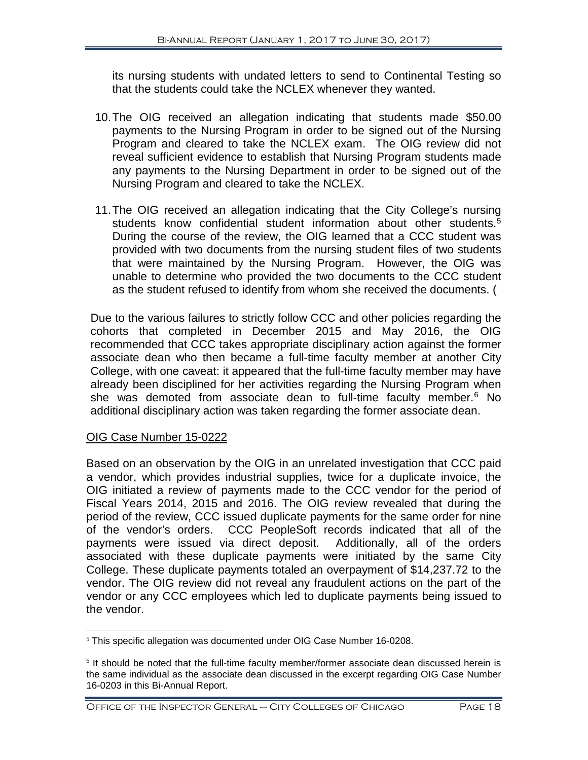its nursing students with undated letters to send to Continental Testing so that the students could take the NCLEX whenever they wanted.

- 10.The OIG received an allegation indicating that students made \$50.00 payments to the Nursing Program in order to be signed out of the Nursing Program and cleared to take the NCLEX exam. The OIG review did not reveal sufficient evidence to establish that Nursing Program students made any payments to the Nursing Department in order to be signed out of the Nursing Program and cleared to take the NCLEX.
- 11.The OIG received an allegation indicating that the City College's nursing students know confidential student information about other students.<sup>[5](#page-19-0)</sup> During the course of the review, the OIG learned that a CCC student was provided with two documents from the nursing student files of two students that were maintained by the Nursing Program. However, the OIG was unable to determine who provided the two documents to the CCC student as the student refused to identify from whom she received the documents. (

Due to the various failures to strictly follow CCC and other policies regarding the cohorts that completed in December 2015 and May 2016, the OIG recommended that CCC takes appropriate disciplinary action against the former associate dean who then became a full-time faculty member at another City College, with one caveat: it appeared that the full-time faculty member may have already been disciplined for her activities regarding the Nursing Program when she was demoted from associate dean to full-time faculty member. [6](#page-19-1) No additional disciplinary action was taken regarding the former associate dean.

## OIG Case Number 15-0222

Based on an observation by the OIG in an unrelated investigation that CCC paid a vendor, which provides industrial supplies, twice for a duplicate invoice, the OIG initiated a review of payments made to the CCC vendor for the period of Fiscal Years 2014, 2015 and 2016. The OIG review revealed that during the period of the review, CCC issued duplicate payments for the same order for nine of the vendor's orders. CCC PeopleSoft records indicated that all of the payments were issued via direct deposit. Additionally, all of the orders associated with these duplicate payments were initiated by the same City College. These duplicate payments totaled an overpayment of \$14,237.72 to the vendor. The OIG review did not reveal any fraudulent actions on the part of the vendor or any CCC employees which led to duplicate payments being issued to the vendor.

<span id="page-19-0"></span> $5$  This specific allegation was documented under OIG Case Number 16-0208.

<span id="page-19-1"></span> $6$  It should be noted that the full-time faculty member/former associate dean discussed herein is the same individual as the associate dean discussed in the excerpt regarding OIG Case Number 16-0203 in this Bi-Annual Report.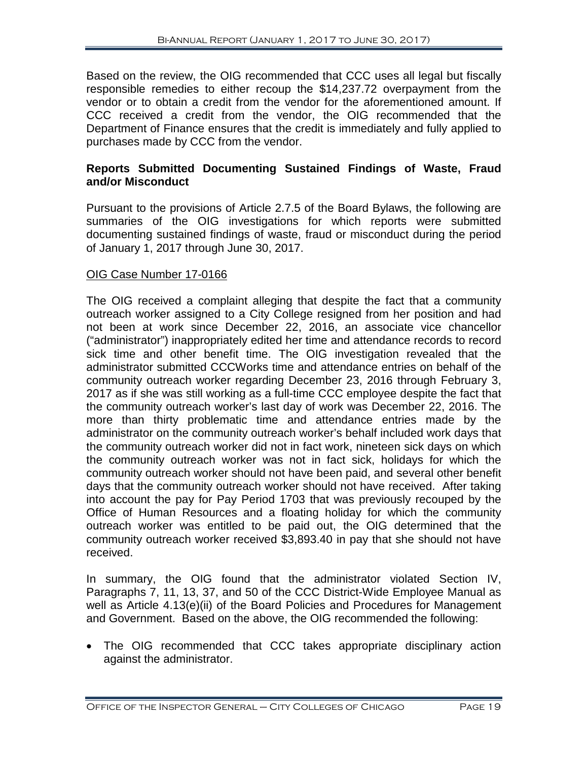Based on the review, the OIG recommended that CCC uses all legal but fiscally responsible remedies to either recoup the \$14,237.72 overpayment from the vendor or to obtain a credit from the vendor for the aforementioned amount. If CCC received a credit from the vendor, the OIG recommended that the Department of Finance ensures that the credit is immediately and fully applied to purchases made by CCC from the vendor.

# **Reports Submitted Documenting Sustained Findings of Waste, Fraud and/or Misconduct**

Pursuant to the provisions of Article 2.7.5 of the Board Bylaws, the following are summaries of the OIG investigations for which reports were submitted documenting sustained findings of waste, fraud or misconduct during the period of January 1, 2017 through June 30, 2017.

# OIG Case Number 17-0166

The OIG received a complaint alleging that despite the fact that a community outreach worker assigned to a City College resigned from her position and had not been at work since December 22, 2016, an associate vice chancellor ("administrator") inappropriately edited her time and attendance records to record sick time and other benefit time. The OIG investigation revealed that the administrator submitted CCCWorks time and attendance entries on behalf of the community outreach worker regarding December 23, 2016 through February 3, 2017 as if she was still working as a full-time CCC employee despite the fact that the community outreach worker's last day of work was December 22, 2016. The more than thirty problematic time and attendance entries made by the administrator on the community outreach worker's behalf included work days that the community outreach worker did not in fact work, nineteen sick days on which the community outreach worker was not in fact sick, holidays for which the community outreach worker should not have been paid, and several other benefit days that the community outreach worker should not have received. After taking into account the pay for Pay Period 1703 that was previously recouped by the Office of Human Resources and a floating holiday for which the community outreach worker was entitled to be paid out, the OIG determined that the community outreach worker received \$3,893.40 in pay that she should not have received.

In summary, the OIG found that the administrator violated Section IV, Paragraphs 7, 11, 13, 37, and 50 of the CCC District-Wide Employee Manual as well as Article 4.13(e)(ii) of the Board Policies and Procedures for Management and Government. Based on the above, the OIG recommended the following:

• The OIG recommended that CCC takes appropriate disciplinary action against the administrator.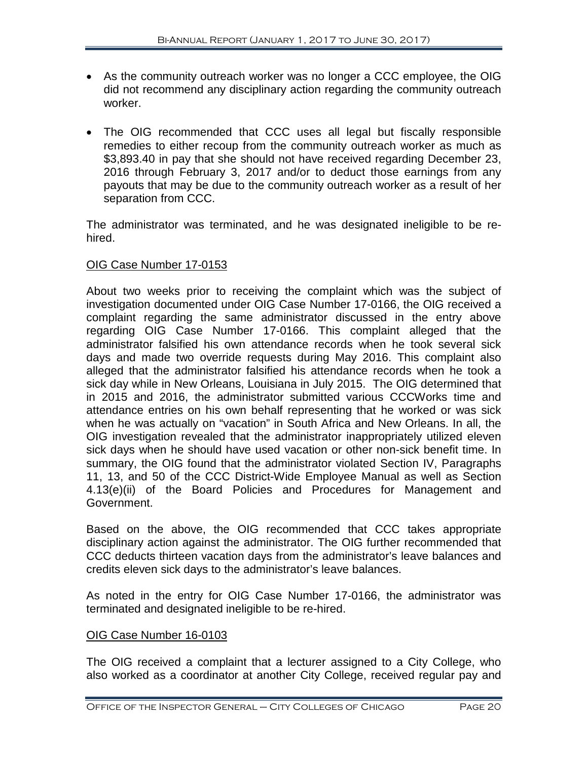- As the community outreach worker was no longer a CCC employee, the OIG did not recommend any disciplinary action regarding the community outreach worker.
- The OIG recommended that CCC uses all legal but fiscally responsible remedies to either recoup from the community outreach worker as much as \$3,893.40 in pay that she should not have received regarding December 23, 2016 through February 3, 2017 and/or to deduct those earnings from any payouts that may be due to the community outreach worker as a result of her separation from CCC.

The administrator was terminated, and he was designated ineligible to be rehired.

# OIG Case Number 17-0153

About two weeks prior to receiving the complaint which was the subject of investigation documented under OIG Case Number 17-0166, the OIG received a complaint regarding the same administrator discussed in the entry above regarding OIG Case Number 17-0166. This complaint alleged that the administrator falsified his own attendance records when he took several sick days and made two override requests during May 2016. This complaint also alleged that the administrator falsified his attendance records when he took a sick day while in New Orleans, Louisiana in July 2015. The OIG determined that in 2015 and 2016, the administrator submitted various CCCWorks time and attendance entries on his own behalf representing that he worked or was sick when he was actually on "vacation" in South Africa and New Orleans. In all, the OIG investigation revealed that the administrator inappropriately utilized eleven sick days when he should have used vacation or other non-sick benefit time. In summary, the OIG found that the administrator violated Section IV, Paragraphs 11, 13, and 50 of the CCC District-Wide Employee Manual as well as Section 4.13(e)(ii) of the Board Policies and Procedures for Management and Government.

Based on the above, the OIG recommended that CCC takes appropriate disciplinary action against the administrator. The OIG further recommended that CCC deducts thirteen vacation days from the administrator's leave balances and credits eleven sick days to the administrator's leave balances.

As noted in the entry for OIG Case Number 17-0166, the administrator was terminated and designated ineligible to be re-hired.

## OIG Case Number 16-0103

The OIG received a complaint that a lecturer assigned to a City College, who also worked as a coordinator at another City College, received regular pay and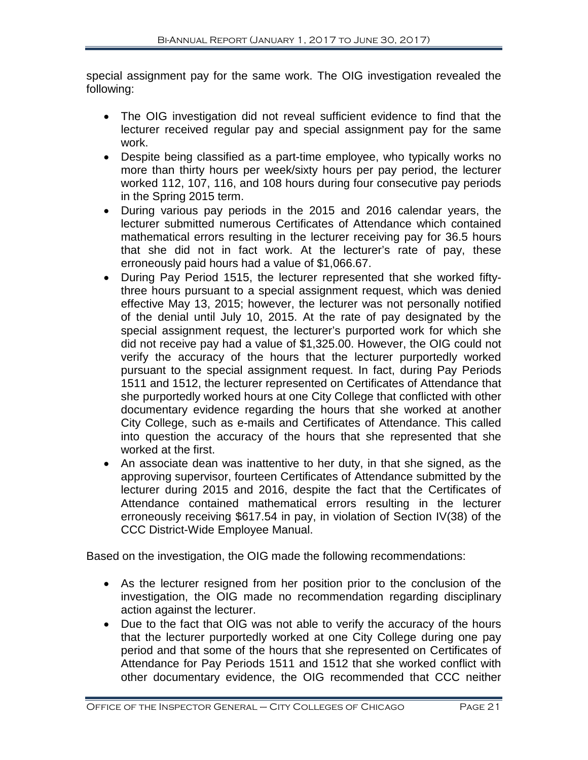special assignment pay for the same work. The OIG investigation revealed the following:

- The OIG investigation did not reveal sufficient evidence to find that the lecturer received regular pay and special assignment pay for the same work.
- Despite being classified as a part-time employee, who typically works no more than thirty hours per week/sixty hours per pay period, the lecturer worked 112, 107, 116, and 108 hours during four consecutive pay periods in the Spring 2015 term.
- During various pay periods in the 2015 and 2016 calendar years, the lecturer submitted numerous Certificates of Attendance which contained mathematical errors resulting in the lecturer receiving pay for 36.5 hours that she did not in fact work. At the lecturer's rate of pay, these erroneously paid hours had a value of \$1,066.67.
- During Pay Period 1515, the lecturer represented that she worked fiftythree hours pursuant to a special assignment request, which was denied effective May 13, 2015; however, the lecturer was not personally notified of the denial until July 10, 2015. At the rate of pay designated by the special assignment request, the lecturer's purported work for which she did not receive pay had a value of \$1,325.00. However, the OIG could not verify the accuracy of the hours that the lecturer purportedly worked pursuant to the special assignment request. In fact, during Pay Periods 1511 and 1512, the lecturer represented on Certificates of Attendance that she purportedly worked hours at one City College that conflicted with other documentary evidence regarding the hours that she worked at another City College, such as e-mails and Certificates of Attendance. This called into question the accuracy of the hours that she represented that she worked at the first.
- An associate dean was inattentive to her duty, in that she signed, as the approving supervisor, fourteen Certificates of Attendance submitted by the lecturer during 2015 and 2016, despite the fact that the Certificates of Attendance contained mathematical errors resulting in the lecturer erroneously receiving \$617.54 in pay, in violation of Section IV(38) of the CCC District-Wide Employee Manual.

Based on the investigation, the OIG made the following recommendations:

- As the lecturer resigned from her position prior to the conclusion of the investigation, the OIG made no recommendation regarding disciplinary action against the lecturer.
- Due to the fact that OIG was not able to verify the accuracy of the hours that the lecturer purportedly worked at one City College during one pay period and that some of the hours that she represented on Certificates of Attendance for Pay Periods 1511 and 1512 that she worked conflict with other documentary evidence, the OIG recommended that CCC neither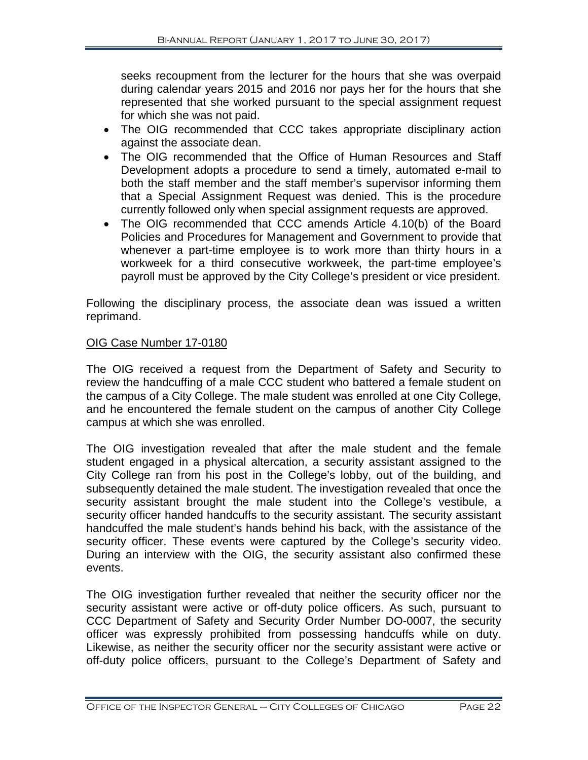seeks recoupment from the lecturer for the hours that she was overpaid during calendar years 2015 and 2016 nor pays her for the hours that she represented that she worked pursuant to the special assignment request for which she was not paid.

- The OIG recommended that CCC takes appropriate disciplinary action against the associate dean.
- The OIG recommended that the Office of Human Resources and Staff Development adopts a procedure to send a timely, automated e-mail to both the staff member and the staff member's supervisor informing them that a Special Assignment Request was denied. This is the procedure currently followed only when special assignment requests are approved.
- The OIG recommended that CCC amends Article 4.10(b) of the Board Policies and Procedures for Management and Government to provide that whenever a part-time employee is to work more than thirty hours in a workweek for a third consecutive workweek, the part-time employee's payroll must be approved by the City College's president or vice president.

Following the disciplinary process, the associate dean was issued a written reprimand.

# OIG Case Number 17-0180

The OIG received a request from the Department of Safety and Security to review the handcuffing of a male CCC student who battered a female student on the campus of a City College. The male student was enrolled at one City College, and he encountered the female student on the campus of another City College campus at which she was enrolled.

The OIG investigation revealed that after the male student and the female student engaged in a physical altercation, a security assistant assigned to the City College ran from his post in the College's lobby, out of the building, and subsequently detained the male student. The investigation revealed that once the security assistant brought the male student into the College's vestibule, a security officer handed handcuffs to the security assistant. The security assistant handcuffed the male student's hands behind his back, with the assistance of the security officer. These events were captured by the College's security video. During an interview with the OIG, the security assistant also confirmed these events.

The OIG investigation further revealed that neither the security officer nor the security assistant were active or off-duty police officers. As such, pursuant to CCC Department of Safety and Security Order Number DO-0007, the security officer was expressly prohibited from possessing handcuffs while on duty. Likewise, as neither the security officer nor the security assistant were active or off-duty police officers, pursuant to the College's Department of Safety and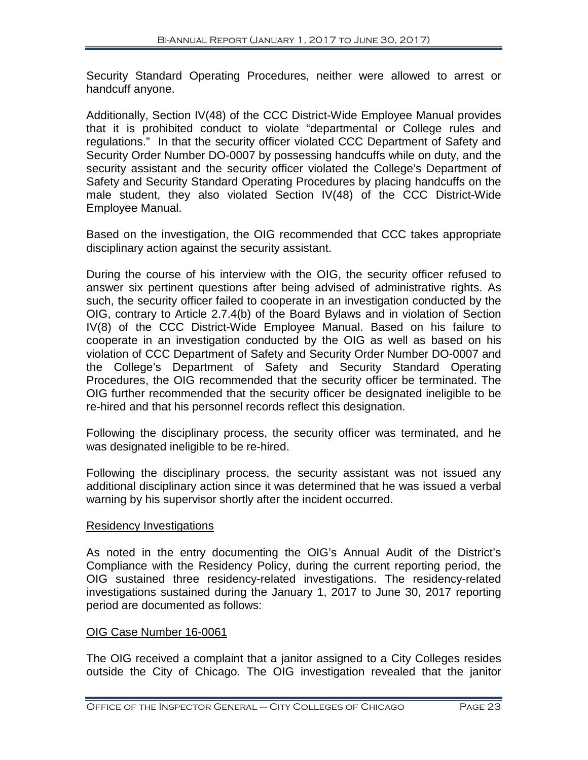Security Standard Operating Procedures, neither were allowed to arrest or handcuff anyone.

Additionally, Section IV(48) of the CCC District-Wide Employee Manual provides that it is prohibited conduct to violate "departmental or College rules and regulations." In that the security officer violated CCC Department of Safety and Security Order Number DO-0007 by possessing handcuffs while on duty, and the security assistant and the security officer violated the College's Department of Safety and Security Standard Operating Procedures by placing handcuffs on the male student, they also violated Section IV(48) of the CCC District-Wide Employee Manual.

Based on the investigation, the OIG recommended that CCC takes appropriate disciplinary action against the security assistant.

During the course of his interview with the OIG, the security officer refused to answer six pertinent questions after being advised of administrative rights. As such, the security officer failed to cooperate in an investigation conducted by the OIG, contrary to Article 2.7.4(b) of the Board Bylaws and in violation of Section IV(8) of the CCC District-Wide Employee Manual. Based on his failure to cooperate in an investigation conducted by the OIG as well as based on his violation of CCC Department of Safety and Security Order Number DO-0007 and the College's Department of Safety and Security Standard Operating Procedures, the OIG recommended that the security officer be terminated. The OIG further recommended that the security officer be designated ineligible to be re-hired and that his personnel records reflect this designation.

Following the disciplinary process, the security officer was terminated, and he was designated ineligible to be re-hired.

Following the disciplinary process, the security assistant was not issued any additional disciplinary action since it was determined that he was issued a verbal warning by his supervisor shortly after the incident occurred.

## Residency Investigations

As noted in the entry documenting the OIG's Annual Audit of the District's Compliance with the Residency Policy, during the current reporting period, the OIG sustained three residency-related investigations. The residency-related investigations sustained during the January 1, 2017 to June 30, 2017 reporting period are documented as follows:

## OIG Case Number 16-0061

The OIG received a complaint that a janitor assigned to a City Colleges resides outside the City of Chicago. The OIG investigation revealed that the janitor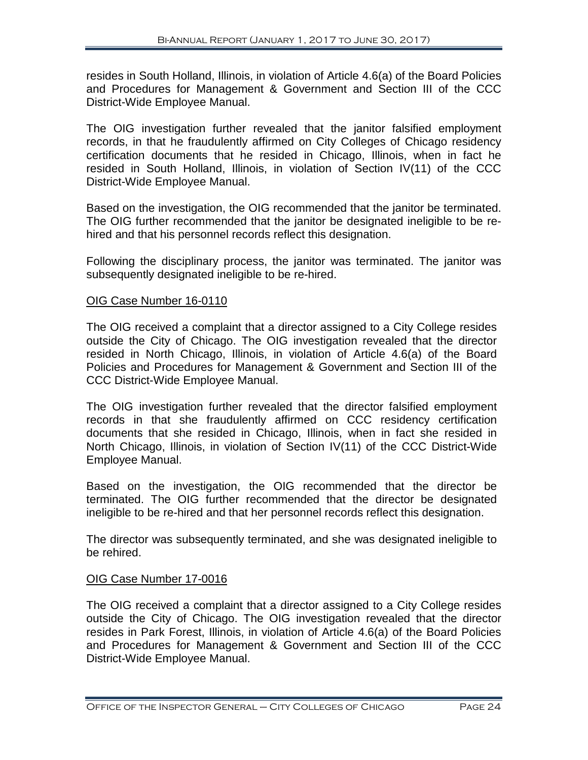resides in South Holland, Illinois, in violation of Article 4.6(a) of the Board Policies and Procedures for Management & Government and Section III of the CCC District-Wide Employee Manual.

The OIG investigation further revealed that the janitor falsified employment records, in that he fraudulently affirmed on City Colleges of Chicago residency certification documents that he resided in Chicago, Illinois, when in fact he resided in South Holland, Illinois, in violation of Section IV(11) of the CCC District-Wide Employee Manual.

Based on the investigation, the OIG recommended that the janitor be terminated. The OIG further recommended that the janitor be designated ineligible to be rehired and that his personnel records reflect this designation.

Following the disciplinary process, the janitor was terminated. The janitor was subsequently designated ineligible to be re-hired.

# OIG Case Number 16-0110

The OIG received a complaint that a director assigned to a City College resides outside the City of Chicago. The OIG investigation revealed that the director resided in North Chicago, Illinois, in violation of Article 4.6(a) of the Board Policies and Procedures for Management & Government and Section III of the CCC District-Wide Employee Manual.

The OIG investigation further revealed that the director falsified employment records in that she fraudulently affirmed on CCC residency certification documents that she resided in Chicago, Illinois, when in fact she resided in North Chicago, Illinois, in violation of Section IV(11) of the CCC District-Wide Employee Manual.

Based on the investigation, the OIG recommended that the director be terminated. The OIG further recommended that the director be designated ineligible to be re-hired and that her personnel records reflect this designation.

The director was subsequently terminated, and she was designated ineligible to be rehired.

# OIG Case Number 17-0016

The OIG received a complaint that a director assigned to a City College resides outside the City of Chicago. The OIG investigation revealed that the director resides in Park Forest, Illinois, in violation of Article 4.6(a) of the Board Policies and Procedures for Management & Government and Section III of the CCC District-Wide Employee Manual.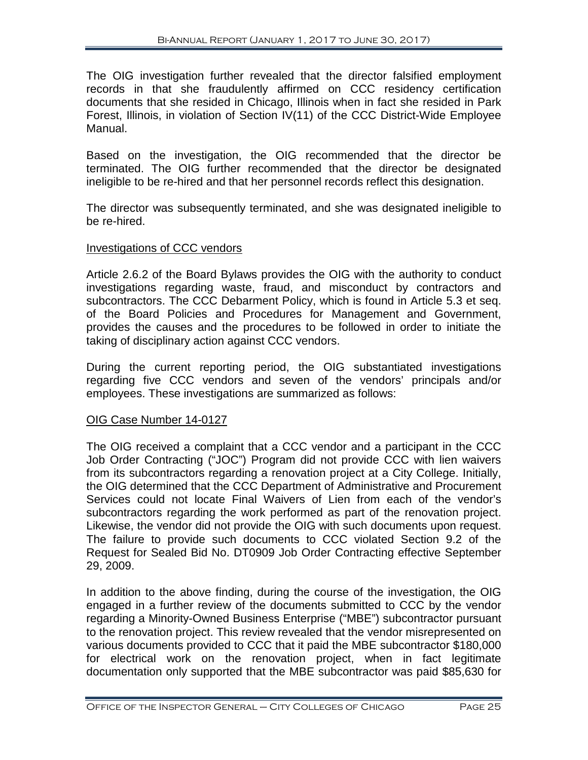The OIG investigation further revealed that the director falsified employment records in that she fraudulently affirmed on CCC residency certification documents that she resided in Chicago, Illinois when in fact she resided in Park Forest, Illinois, in violation of Section IV(11) of the CCC District-Wide Employee Manual.

Based on the investigation, the OIG recommended that the director be terminated. The OIG further recommended that the director be designated ineligible to be re-hired and that her personnel records reflect this designation.

The director was subsequently terminated, and she was designated ineligible to be re-hired.

## Investigations of CCC vendors

Article 2.6.2 of the Board Bylaws provides the OIG with the authority to conduct investigations regarding waste, fraud, and misconduct by contractors and subcontractors. The CCC Debarment Policy, which is found in Article 5.3 et seq. of the Board Policies and Procedures for Management and Government, provides the causes and the procedures to be followed in order to initiate the taking of disciplinary action against CCC vendors.

During the current reporting period, the OIG substantiated investigations regarding five CCC vendors and seven of the vendors' principals and/or employees. These investigations are summarized as follows:

## OIG Case Number 14-0127

The OIG received a complaint that a CCC vendor and a participant in the CCC Job Order Contracting ("JOC") Program did not provide CCC with lien waivers from its subcontractors regarding a renovation project at a City College. Initially, the OIG determined that the CCC Department of Administrative and Procurement Services could not locate Final Waivers of Lien from each of the vendor's subcontractors regarding the work performed as part of the renovation project. Likewise, the vendor did not provide the OIG with such documents upon request. The failure to provide such documents to CCC violated Section 9.2 of the Request for Sealed Bid No. DT0909 Job Order Contracting effective September 29, 2009.

In addition to the above finding, during the course of the investigation, the OIG engaged in a further review of the documents submitted to CCC by the vendor regarding a Minority-Owned Business Enterprise ("MBE") subcontractor pursuant to the renovation project. This review revealed that the vendor misrepresented on various documents provided to CCC that it paid the MBE subcontractor \$180,000 for electrical work on the renovation project, when in fact legitimate documentation only supported that the MBE subcontractor was paid \$85,630 for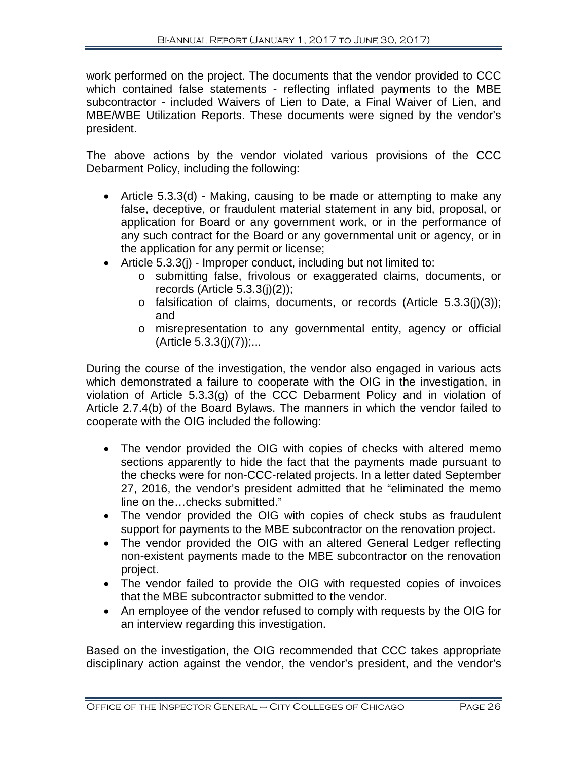work performed on the project. The documents that the vendor provided to CCC which contained false statements - reflecting inflated payments to the MBE subcontractor - included Waivers of Lien to Date, a Final Waiver of Lien, and MBE/WBE Utilization Reports. These documents were signed by the vendor's president.

The above actions by the vendor violated various provisions of the CCC Debarment Policy, including the following:

- Article 5.3.3(d) Making, causing to be made or attempting to make any false, deceptive, or fraudulent material statement in any bid, proposal, or application for Board or any government work, or in the performance of any such contract for the Board or any governmental unit or agency, or in the application for any permit or license;
- Article 5.3.3(j) Improper conduct, including but not limited to:
	- o submitting false, frivolous or exaggerated claims, documents, or records (Article  $5.3.3(j)(2)$ );
	- o falsification of claims, documents, or records (Article 5.3.3(j)(3)); and
	- o misrepresentation to any governmental entity, agency or official  $(A$ rticle  $5.3.3(j)(7))$ ;...

During the course of the investigation, the vendor also engaged in various acts which demonstrated a failure to cooperate with the OIG in the investigation, in violation of Article 5.3.3(g) of the CCC Debarment Policy and in violation of Article 2.7.4(b) of the Board Bylaws. The manners in which the vendor failed to cooperate with the OIG included the following:

- The vendor provided the OIG with copies of checks with altered memo sections apparently to hide the fact that the payments made pursuant to the checks were for non-CCC-related projects. In a letter dated September 27, 2016, the vendor's president admitted that he "eliminated the memo line on the…checks submitted."
- The vendor provided the OIG with copies of check stubs as fraudulent support for payments to the MBE subcontractor on the renovation project.
- The vendor provided the OIG with an altered General Ledger reflecting non-existent payments made to the MBE subcontractor on the renovation project.
- The vendor failed to provide the OIG with requested copies of invoices that the MBE subcontractor submitted to the vendor.
- An employee of the vendor refused to comply with requests by the OIG for an interview regarding this investigation.

Based on the investigation, the OIG recommended that CCC takes appropriate disciplinary action against the vendor, the vendor's president, and the vendor's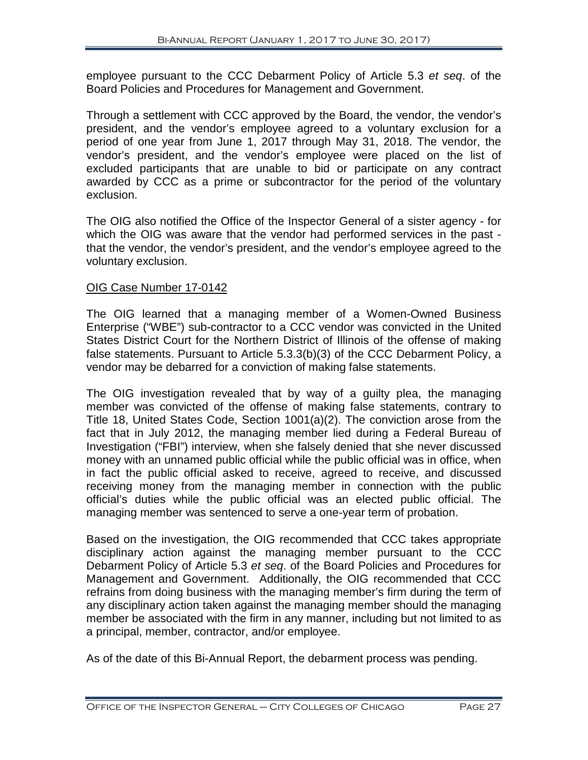employee pursuant to the CCC Debarment Policy of Article 5.3 *et seq*. of the Board Policies and Procedures for Management and Government.

Through a settlement with CCC approved by the Board, the vendor, the vendor's president, and the vendor's employee agreed to a voluntary exclusion for a period of one year from June 1, 2017 through May 31, 2018. The vendor, the vendor's president, and the vendor's employee were placed on the list of excluded participants that are unable to bid or participate on any contract awarded by CCC as a prime or subcontractor for the period of the voluntary exclusion.

The OIG also notified the Office of the Inspector General of a sister agency - for which the OIG was aware that the vendor had performed services in the past that the vendor, the vendor's president, and the vendor's employee agreed to the voluntary exclusion.

## OIG Case Number 17-0142

The OIG learned that a managing member of a Women-Owned Business Enterprise ("WBE") sub-contractor to a CCC vendor was convicted in the United States District Court for the Northern District of Illinois of the offense of making false statements. Pursuant to Article 5.3.3(b)(3) of the CCC Debarment Policy, a vendor may be debarred for a conviction of making false statements.

The OIG investigation revealed that by way of a guilty plea, the managing member was convicted of the offense of making false statements, contrary to Title 18, United States Code, Section 1001(a)(2). The conviction arose from the fact that in July 2012, the managing member lied during a Federal Bureau of Investigation ("FBI") interview, when she falsely denied that she never discussed money with an unnamed public official while the public official was in office, when in fact the public official asked to receive, agreed to receive, and discussed receiving money from the managing member in connection with the public official's duties while the public official was an elected public official. The managing member was sentenced to serve a one-year term of probation.

Based on the investigation, the OIG recommended that CCC takes appropriate disciplinary action against the managing member pursuant to the CCC Debarment Policy of Article 5.3 *et seq*. of the Board Policies and Procedures for Management and Government. Additionally, the OIG recommended that CCC refrains from doing business with the managing member's firm during the term of any disciplinary action taken against the managing member should the managing member be associated with the firm in any manner, including but not limited to as a principal, member, contractor, and/or employee.

As of the date of this Bi-Annual Report, the debarment process was pending.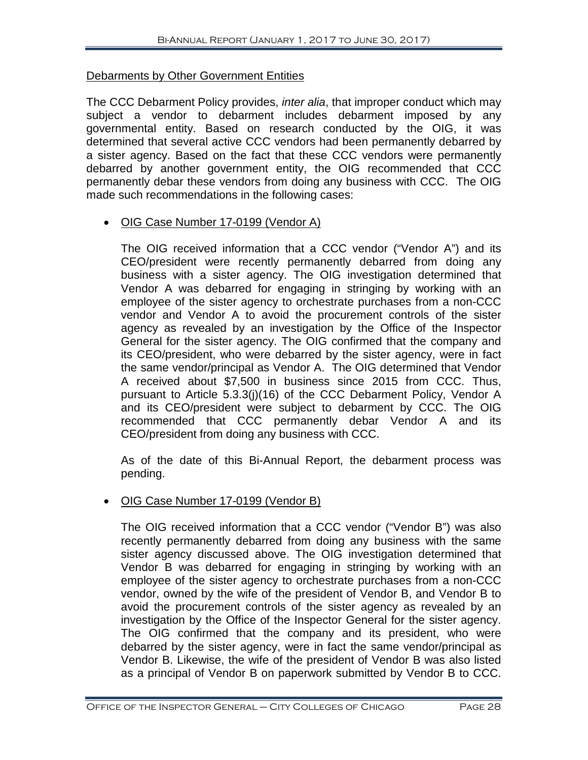## Debarments by Other Government Entities

The CCC Debarment Policy provides, *inter alia*, that improper conduct which may subject a vendor to debarment includes debarment imposed by any governmental entity. Based on research conducted by the OIG, it was determined that several active CCC vendors had been permanently debarred by a sister agency. Based on the fact that these CCC vendors were permanently debarred by another government entity, the OIG recommended that CCC permanently debar these vendors from doing any business with CCC. The OIG made such recommendations in the following cases:

• OIG Case Number 17-0199 (Vendor A)

The OIG received information that a CCC vendor ("Vendor A") and its CEO/president were recently permanently debarred from doing any business with a sister agency. The OIG investigation determined that Vendor A was debarred for engaging in stringing by working with an employee of the sister agency to orchestrate purchases from a non-CCC vendor and Vendor A to avoid the procurement controls of the sister agency as revealed by an investigation by the Office of the Inspector General for the sister agency. The OIG confirmed that the company and its CEO/president, who were debarred by the sister agency, were in fact the same vendor/principal as Vendor A. The OIG determined that Vendor A received about \$7,500 in business since 2015 from CCC. Thus, pursuant to Article 5.3.3(j)(16) of the CCC Debarment Policy, Vendor A and its CEO/president were subject to debarment by CCC. The OIG recommended that CCC permanently debar Vendor A and its CEO/president from doing any business with CCC.

As of the date of this Bi-Annual Report, the debarment process was pending.

## • OIG Case Number 17-0199 (Vendor B)

The OIG received information that a CCC vendor ("Vendor B") was also recently permanently debarred from doing any business with the same sister agency discussed above. The OIG investigation determined that Vendor B was debarred for engaging in stringing by working with an employee of the sister agency to orchestrate purchases from a non-CCC vendor, owned by the wife of the president of Vendor B, and Vendor B to avoid the procurement controls of the sister agency as revealed by an investigation by the Office of the Inspector General for the sister agency. The OIG confirmed that the company and its president, who were debarred by the sister agency, were in fact the same vendor/principal as Vendor B. Likewise, the wife of the president of Vendor B was also listed as a principal of Vendor B on paperwork submitted by Vendor B to CCC.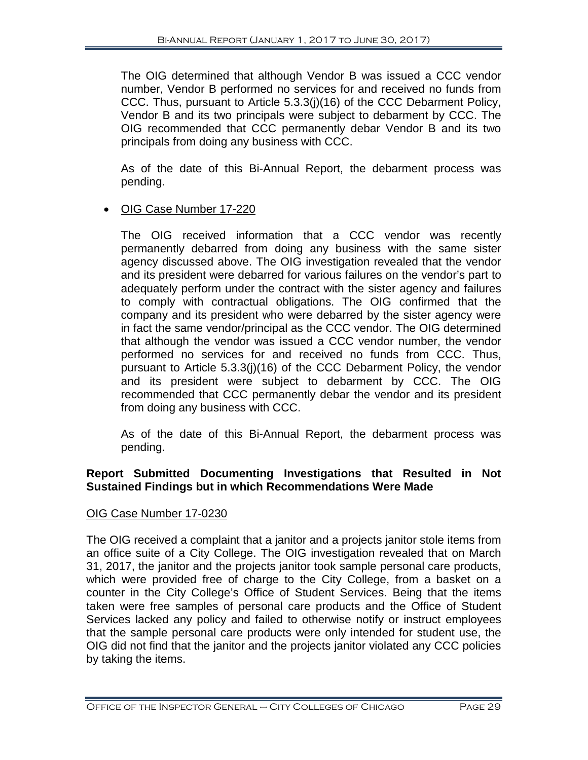The OIG determined that although Vendor B was issued a CCC vendor number, Vendor B performed no services for and received no funds from CCC. Thus, pursuant to Article 5.3.3(j)(16) of the CCC Debarment Policy, Vendor B and its two principals were subject to debarment by CCC. The OIG recommended that CCC permanently debar Vendor B and its two principals from doing any business with CCC.

As of the date of this Bi-Annual Report, the debarment process was pending.

# • OIG Case Number 17-220

The OIG received information that a CCC vendor was recently permanently debarred from doing any business with the same sister agency discussed above. The OIG investigation revealed that the vendor and its president were debarred for various failures on the vendor's part to adequately perform under the contract with the sister agency and failures to comply with contractual obligations. The OIG confirmed that the company and its president who were debarred by the sister agency were in fact the same vendor/principal as the CCC vendor. The OIG determined that although the vendor was issued a CCC vendor number, the vendor performed no services for and received no funds from CCC. Thus, pursuant to Article 5.3.3(j)(16) of the CCC Debarment Policy, the vendor and its president were subject to debarment by CCC. The OIG recommended that CCC permanently debar the vendor and its president from doing any business with CCC.

As of the date of this Bi-Annual Report, the debarment process was pending.

# **Report Submitted Documenting Investigations that Resulted in Not Sustained Findings but in which Recommendations Were Made**

## OIG Case Number 17-0230

The OIG received a complaint that a janitor and a projects janitor stole items from an office suite of a City College. The OIG investigation revealed that on March 31, 2017, the janitor and the projects janitor took sample personal care products, which were provided free of charge to the City College, from a basket on a counter in the City College's Office of Student Services. Being that the items taken were free samples of personal care products and the Office of Student Services lacked any policy and failed to otherwise notify or instruct employees that the sample personal care products were only intended for student use, the OIG did not find that the janitor and the projects janitor violated any CCC policies by taking the items.